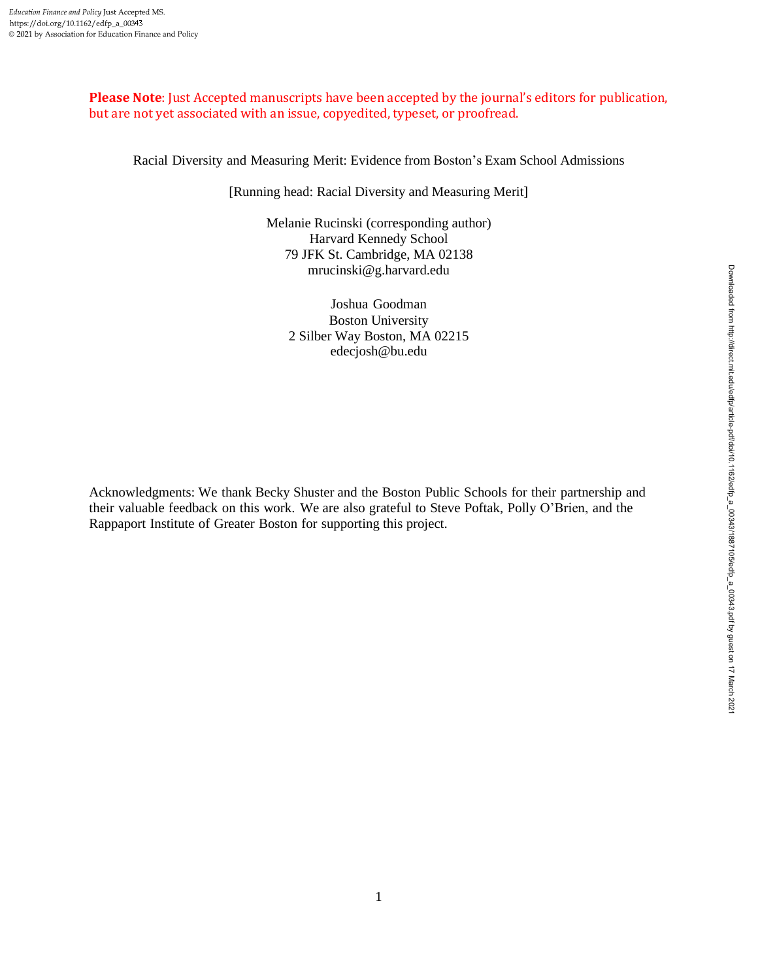**Please Note**: Just Accepted manuscripts have been accepted by the journal's editors for publication, but are not yet associated with an issue, copyedited, typeset, or proofread.

Racial Diversity and Measuring Merit: Evidence from Boston's Exam School Admissions

[Running head: Racial Diversity and Measuring Merit]

Melanie Rucinski (corresponding author) Harvard Kennedy School 79 JFK St. Cambridge, MA 02138 mrucinski@g.harvard.edu

Joshua Goodman Boston University 2 Silber Way Boston, MA 02215 edecjosh@bu.edu

Acknowledgments: We thank Becky Shuster and the Boston Public Schools for their partnership and their valuable feedback on this work. We are also grateful to Steve Poftak, Polly O'Brien, and the Rappaport Institute of Greater Boston for supporting this project.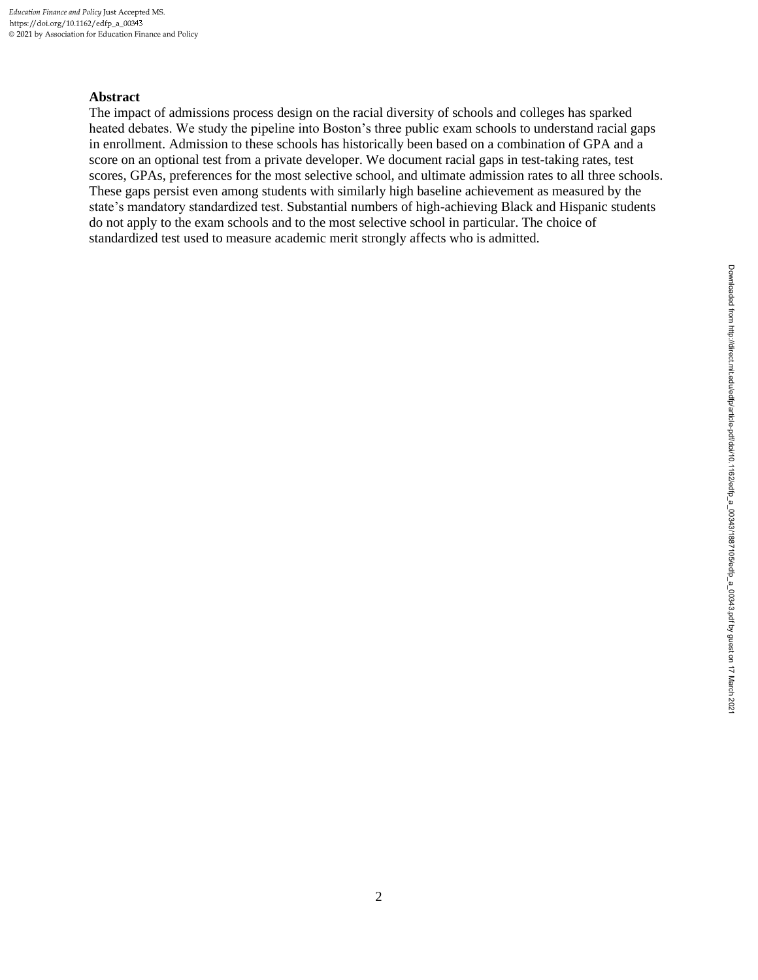# **Abstract**

The impact of admissions process design on the racial diversity of schools and colleges has sparked heated debates. We study the pipeline into Boston's three public exam schools to understand racial gaps in enrollment. Admission to these schools has historically been based on a combination of GPA and a score on an optional test from a private developer. We document racial gaps in test-taking rates, test scores, GPAs, preferences for the most selective school, and ultimate admission rates to all three schools. These gaps persist even among students with similarly high baseline achievement as measured by the state's mandatory standardized test. Substantial numbers of high-achieving Black and Hispanic students do not apply to the exam schools and to the most selective school in particular. The choice of standardized test used to measure academic merit strongly affects who is admitted.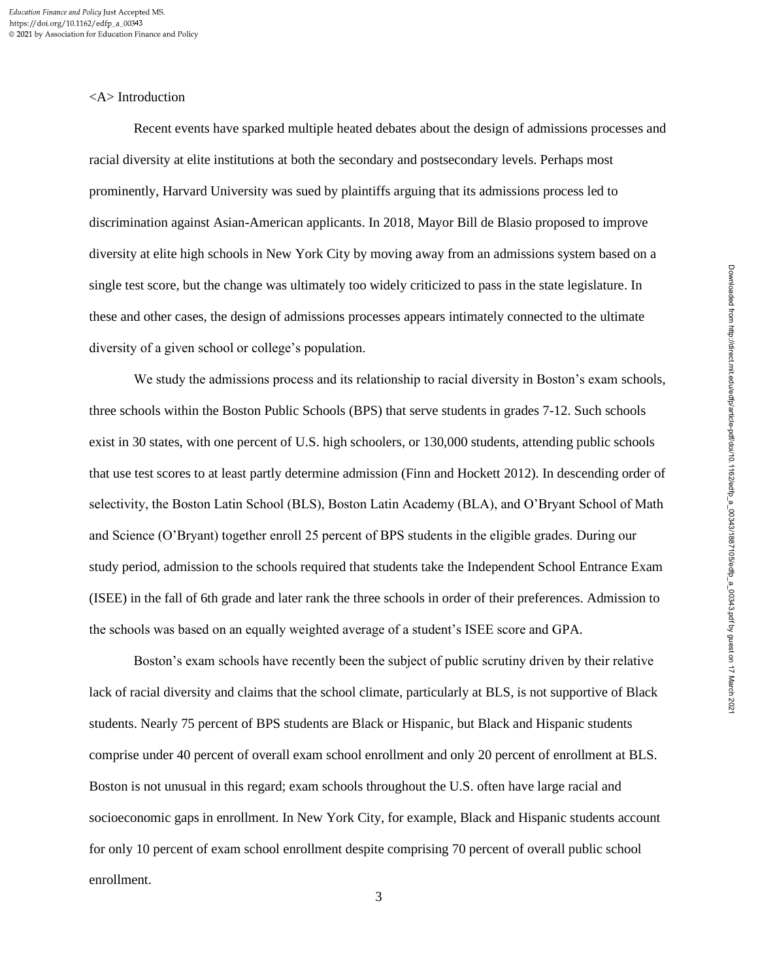<A> Introduction

Recent events have sparked multiple heated debates about the design of admissions processes and racial diversity at elite institutions at both the secondary and postsecondary levels. Perhaps most prominently, Harvard University was sued by plaintiffs arguing that its admissions process led to discrimination against Asian-American applicants. In 2018, Mayor Bill de Blasio proposed to improve diversity at elite high schools in New York City by moving away from an admissions system based on a single test score, but the change was ultimately too widely criticized to pass in the state legislature. In these and other cases, the design of admissions processes appears intimately connected to the ultimate diversity of a given school or college's population.

We study the admissions process and its relationship to racial diversity in Boston's exam schools, three schools within the Boston Public Schools (BPS) that serve students in grades 7-12. Such schools exist in 30 states, with one percent of U.S. high schoolers, or 130,000 students, attending public schools that use test scores to at least partly determine admission (Finn and Hockett 2012). In descending order of selectivity, the Boston Latin School (BLS), Boston Latin Academy (BLA), and O'Bryant School of Math and Science (O'Bryant) together enroll 25 percent of BPS students in the eligible grades. During our study period, admission to the schools required that students take the Independent School Entrance Exam (ISEE) in the fall of 6th grade and later rank the three schools in order of their preferences. Admission to the schools was based on an equally weighted average of a student's ISEE score and GPA.

Boston's exam schools have recently been the subject of public scrutiny driven by their relative lack of racial diversity and claims that the school climate, particularly at BLS, is not supportive of Black students. Nearly 75 percent of BPS students are Black or Hispanic, but Black and Hispanic students comprise under 40 percent of overall exam school enrollment and only 20 percent of enrollment at BLS. Boston is not unusual in this regard; exam schools throughout the U.S. often have large racial and socioeconomic gaps in enrollment. In New York City, for example, Black and Hispanic students account for only 10 percent of exam school enrollment despite comprising 70 percent of overall public school enrollment.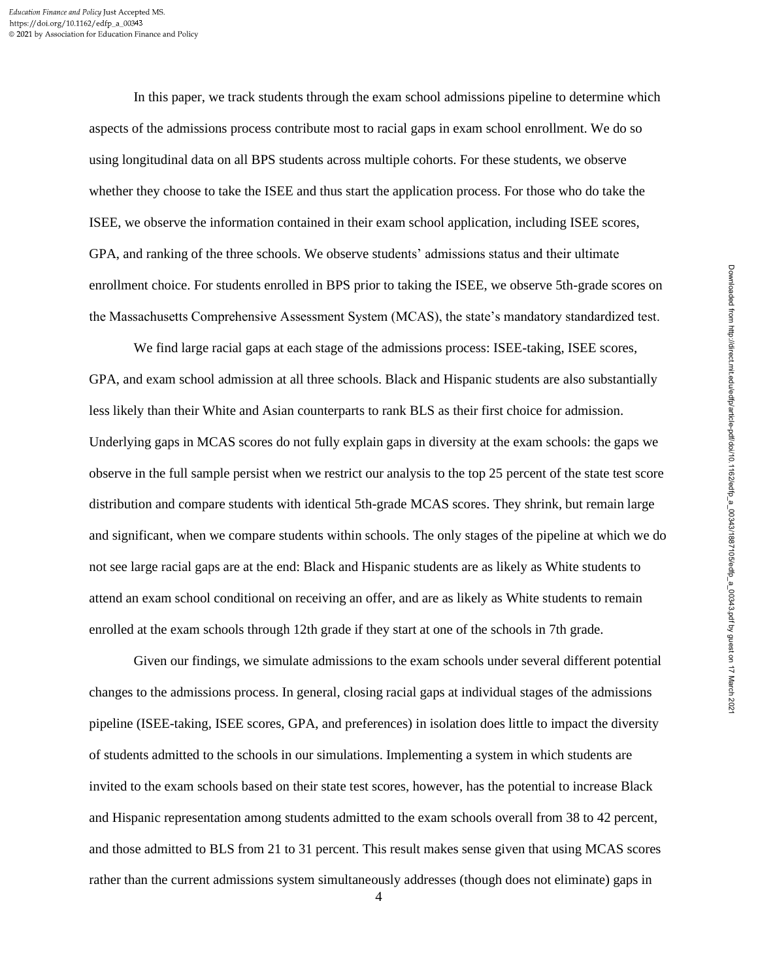In this paper, we track students through the exam school admissions pipeline to determine which aspects of the admissions process contribute most to racial gaps in exam school enrollment. We do so using longitudinal data on all BPS students across multiple cohorts. For these students, we observe whether they choose to take the ISEE and thus start the application process. For those who do take the ISEE, we observe the information contained in their exam school application, including ISEE scores, GPA, and ranking of the three schools. We observe students' admissions status and their ultimate enrollment choice. For students enrolled in BPS prior to taking the ISEE, we observe 5th-grade scores on the Massachusetts Comprehensive Assessment System (MCAS), the state's mandatory standardized test.

We find large racial gaps at each stage of the admissions process: ISEE-taking, ISEE scores, GPA, and exam school admission at all three schools. Black and Hispanic students are also substantially less likely than their White and Asian counterparts to rank BLS as their first choice for admission. Underlying gaps in MCAS scores do not fully explain gaps in diversity at the exam schools: the gaps we observe in the full sample persist when we restrict our analysis to the top 25 percent of the state test score distribution and compare students with identical 5th-grade MCAS scores. They shrink, but remain large and significant, when we compare students within schools. The only stages of the pipeline at which we do not see large racial gaps are at the end: Black and Hispanic students are as likely as White students to attend an exam school conditional on receiving an offer, and are as likely as White students to remain enrolled at the exam schools through 12th grade if they start at one of the schools in 7th grade.

Given our findings, we simulate admissions to the exam schools under several different potential changes to the admissions process. In general, closing racial gaps at individual stages of the admissions pipeline (ISEE-taking, ISEE scores, GPA, and preferences) in isolation does little to impact the diversity of students admitted to the schools in our simulations. Implementing a system in which students are invited to the exam schools based on their state test scores, however, has the potential to increase Black and Hispanic representation among students admitted to the exam schools overall from 38 to 42 percent, and those admitted to BLS from 21 to 31 percent. This result makes sense given that using MCAS scores rather than the current admissions system simultaneously addresses (though does not eliminate) gaps in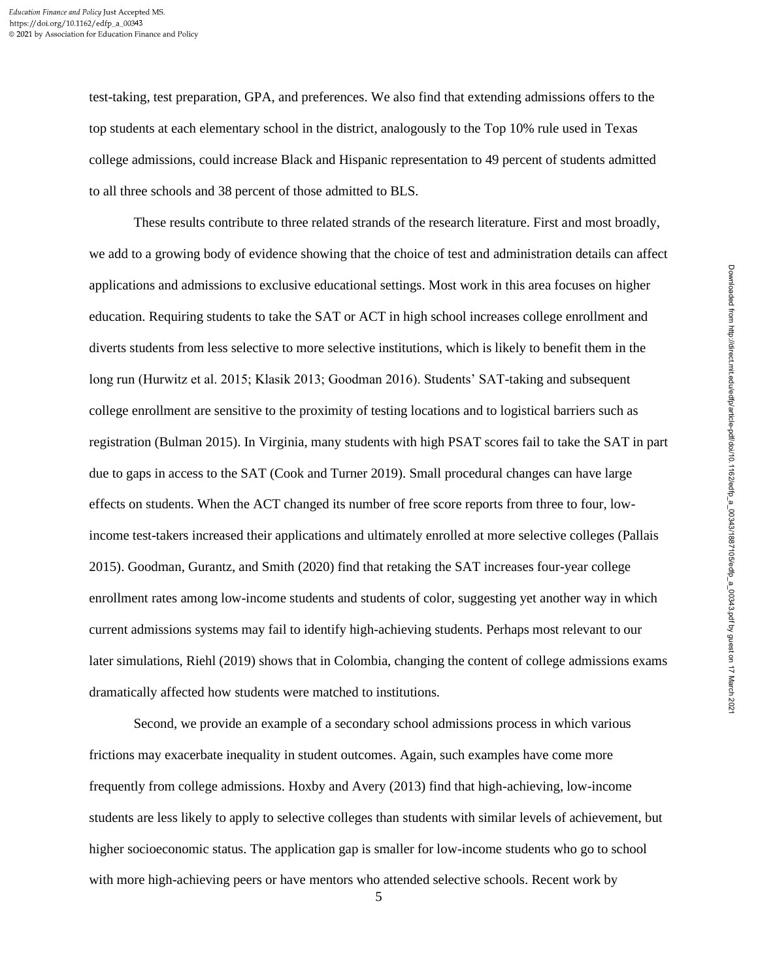test-taking, test preparation, GPA, and preferences. We also find that extending admissions offers to the top students at each elementary school in the district, analogously to the Top 10% rule used in Texas college admissions, could increase Black and Hispanic representation to 49 percent of students admitted to all three schools and 38 percent of those admitted to BLS.

These results contribute to three related strands of the research literature. First and most broadly, we add to a growing body of evidence showing that the choice of test and administration details can affect applications and admissions to exclusive educational settings. Most work in this area focuses on higher education. Requiring students to take the SAT or ACT in high school increases college enrollment and diverts students from less selective to more selective institutions, which is likely to benefit them in the long run (Hurwitz et al. 2015; Klasik 2013; Goodman 2016). Students' SAT-taking and subsequent college enrollment are sensitive to the proximity of testing locations and to logistical barriers such as registration (Bulman 2015). In Virginia, many students with high PSAT scores fail to take the SAT in part due to gaps in access to the SAT (Cook and Turner 2019). Small procedural changes can have large effects on students. When the ACT changed its number of free score reports from three to four, lowincome test-takers increased their applications and ultimately enrolled at more selective colleges (Pallais 2015). Goodman, Gurantz, and Smith (2020) find that retaking the SAT increases four-year college enrollment rates among low-income students and students of color, suggesting yet another way in which current admissions systems may fail to identify high-achieving students. Perhaps most relevant to our later simulations, Riehl (2019) shows that in Colombia, changing the content of college admissions exams dramatically affected how students were matched to institutions.

Second, we provide an example of a secondary school admissions process in which various frictions may exacerbate inequality in student outcomes. Again, such examples have come more frequently from college admissions. Hoxby and Avery (2013) find that high-achieving, low-income students are less likely to apply to selective colleges than students with similar levels of achievement, but higher socioeconomic status. The application gap is smaller for low-income students who go to school with more high-achieving peers or have mentors who attended selective schools. Recent work by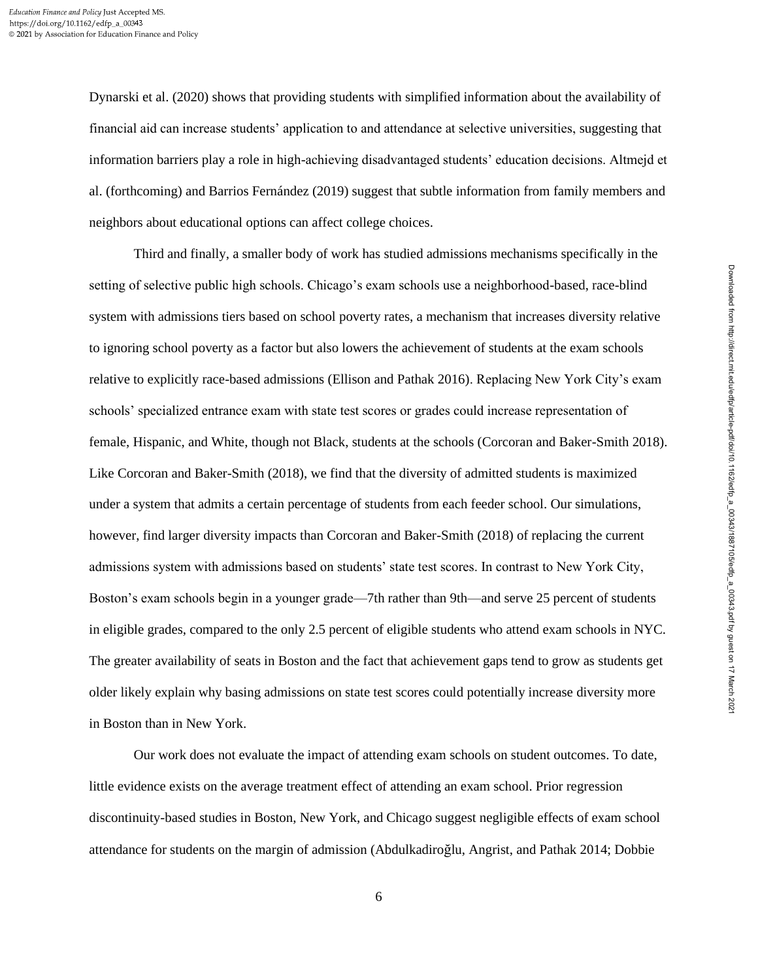Dynarski et al. (2020) shows that providing students with simplified information about the availability of financial aid can increase students' application to and attendance at selective universities, suggesting that information barriers play a role in high-achieving disadvantaged students' education decisions. Altmejd et al. (forthcoming) and Barrios Fernández (2019) suggest that subtle information from family members and neighbors about educational options can affect college choices.

Third and finally, a smaller body of work has studied admissions mechanisms specifically in the setting of selective public high schools. Chicago's exam schools use a neighborhood-based, race-blind system with admissions tiers based on school poverty rates, a mechanism that increases diversity relative to ignoring school poverty as a factor but also lowers the achievement of students at the exam schools relative to explicitly race-based admissions (Ellison and Pathak 2016). Replacing New York City's exam schools' specialized entrance exam with state test scores or grades could increase representation of female, Hispanic, and White, though not Black, students at the schools (Corcoran and Baker-Smith 2018). Like Corcoran and Baker-Smith (2018), we find that the diversity of admitted students is maximized under a system that admits a certain percentage of students from each feeder school. Our simulations, however, find larger diversity impacts than Corcoran and Baker-Smith (2018) of replacing the current admissions system with admissions based on students' state test scores. In contrast to New York City, Boston's exam schools begin in a younger grade—7th rather than 9th—and serve 25 percent of students in eligible grades, compared to the only 2.5 percent of eligible students who attend exam schools in NYC. The greater availability of seats in Boston and the fact that achievement gaps tend to grow as students get older likely explain why basing admissions on state test scores could potentially increase diversity more in Boston than in New York.

Our work does not evaluate the impact of attending exam schools on student outcomes. To date, little evidence exists on the average treatment effect of attending an exam school. Prior regression discontinuity-based studies in Boston, New York, and Chicago suggest negligible effects of exam school attendance for students on the margin of admission (Abdulkadiroğlu, Angrist, and Pathak 2014; Dobbie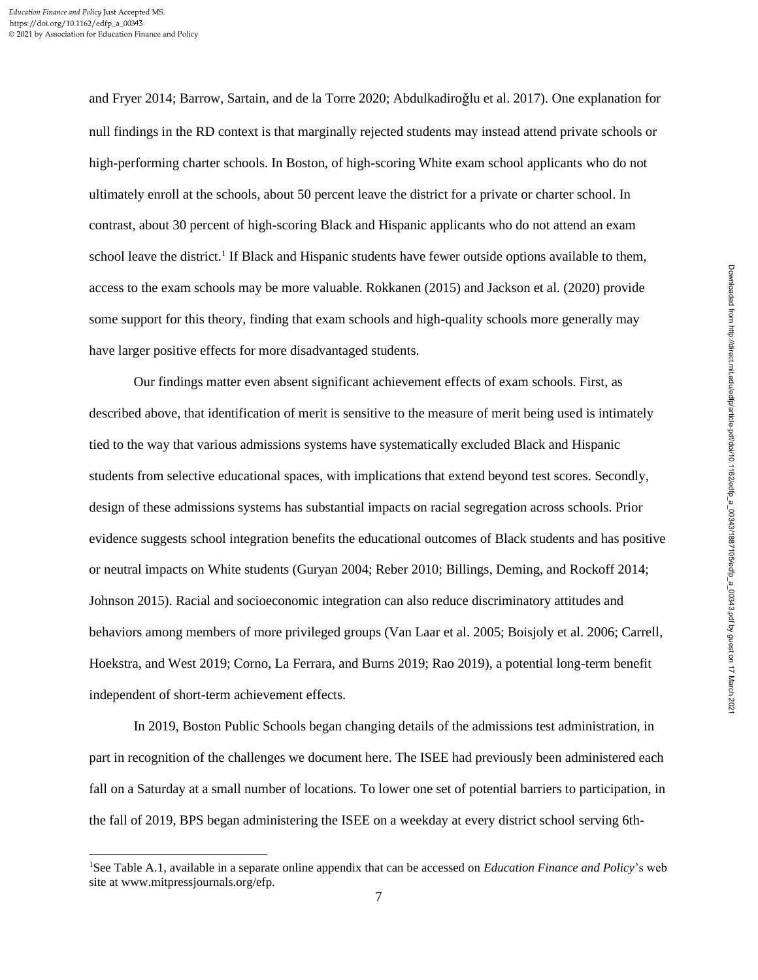and Fryer 2014; Barrow, Sartain, and de la Torre 2020; Abdulkadiroğlu et al. 2017). One explanation for null findings in the RD context is that marginally rejected students may instead attend private schools or high-performing charter schools. In Boston, of high-scoring White exam school applicants who do not ultimately enroll at the schools, about 50 percent leave the district for a private or charter school. In contrast, about 30 percent of high-scoring Black and Hispanic applicants who do not attend an exam school leave the district.<sup>1</sup> If Black and Hispanic students have fewer outside options available to them, access to the exam schools may be more valuable. Rokkanen (2015) and Jackson et al. (2020) provide some support for this theory, finding that exam schools and high-quality schools more generally may have larger positive effects for more disadvantaged students.

Our findings matter even absent significant achievement effects of exam schools. First, as described above, that identification of merit is sensitive to the measure of merit being used is intimately tied to the way that various admissions systems have systematically excluded Black and Hispanic students from selective educational spaces, with implications that extend beyond test scores. Secondly, design of these admissions systems has substantial impacts on racial segregation across schools. Prior evidence suggests school integration benefits the educational outcomes of Black students and has positive or neutral impacts on White students (Guryan 2004; Reber 2010; Billings, Deming, and Rockoff 2014; Johnson 2015). Racial and socioeconomic integration can also reduce discriminatory attitudes and behaviors among members of more privileged groups (Van Laar et al. 2005; Boisjoly et al. 2006; Carrell, Hoekstra, and West 2019; Corno, La Ferrara, and Burns 2019; Rao 2019), a potential long-term benefit independent of short-term achievement effects.

In 2019, Boston Public Schools began changing details of the admissions test administration, in part in recognition of the challenges we document here. The ISEE had previously been administered each fall on a Saturday at a small number of locations. To lower one set of potential barriers to participation, in the fall of 2019, BPS began administering the ISEE on a weekday at every district school serving 6th-

<sup>1</sup>See Table A.1, available in a separate online appendix that can be accessed on *Education Finance and Policy*'s web site at www.mitpressjournals.org/efp.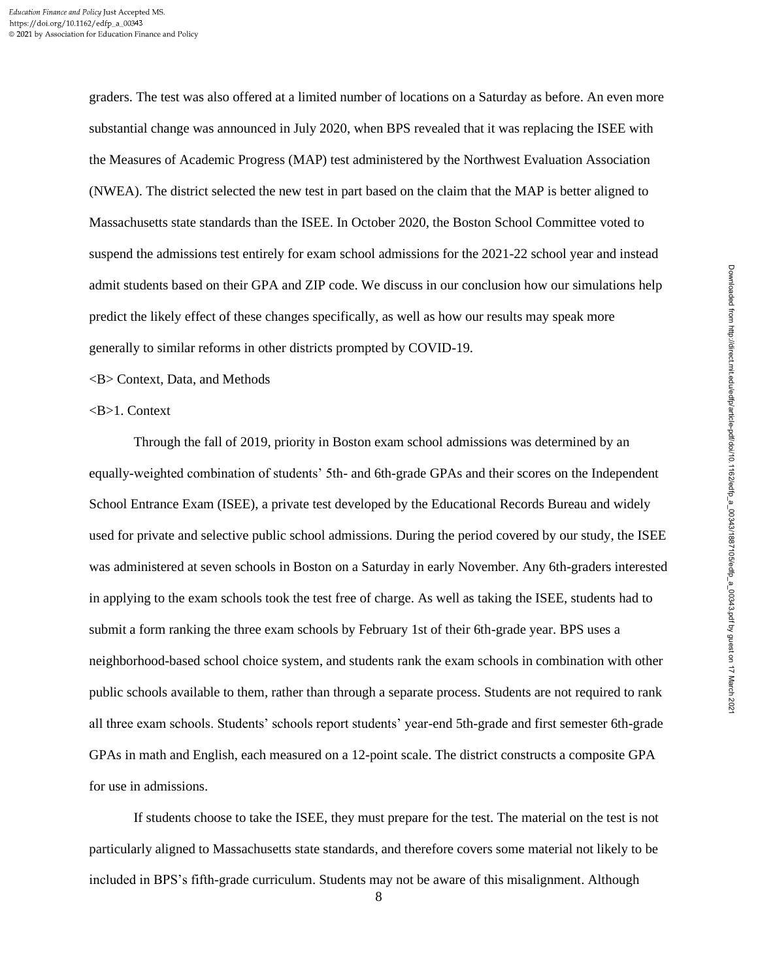graders. The test was also offered at a limited number of locations on a Saturday as before. An even more substantial change was announced in July 2020, when BPS revealed that it was replacing the ISEE with the Measures of Academic Progress (MAP) test administered by the Northwest Evaluation Association (NWEA). The district selected the new test in part based on the claim that the MAP is better aligned to Massachusetts state standards than the ISEE. In October 2020, the Boston School Committee voted to suspend the admissions test entirely for exam school admissions for the 2021-22 school year and instead admit students based on their GPA and ZIP code. We discuss in our conclusion how our simulations help predict the likely effect of these changes specifically, as well as how our results may speak more generally to similar reforms in other districts prompted by COVID-19.

<B> Context, Data, and Methods

<B>1. Context

Through the fall of 2019, priority in Boston exam school admissions was determined by an equally-weighted combination of students' 5th- and 6th-grade GPAs and their scores on the Independent School Entrance Exam (ISEE), a private test developed by the Educational Records Bureau and widely used for private and selective public school admissions. During the period covered by our study, the ISEE was administered at seven schools in Boston on a Saturday in early November. Any 6th-graders interested in applying to the exam schools took the test free of charge. As well as taking the ISEE, students had to submit a form ranking the three exam schools by February 1st of their 6th-grade year. BPS uses a neighborhood-based school choice system, and students rank the exam schools in combination with other public schools available to them, rather than through a separate process. Students are not required to rank all three exam schools. Students' schools report students' year-end 5th-grade and first semester 6th-grade GPAs in math and English, each measured on a 12-point scale. The district constructs a composite GPA for use in admissions.

If students choose to take the ISEE, they must prepare for the test. The material on the test is not particularly aligned to Massachusetts state standards, and therefore covers some material not likely to be included in BPS's fifth-grade curriculum. Students may not be aware of this misalignment. Although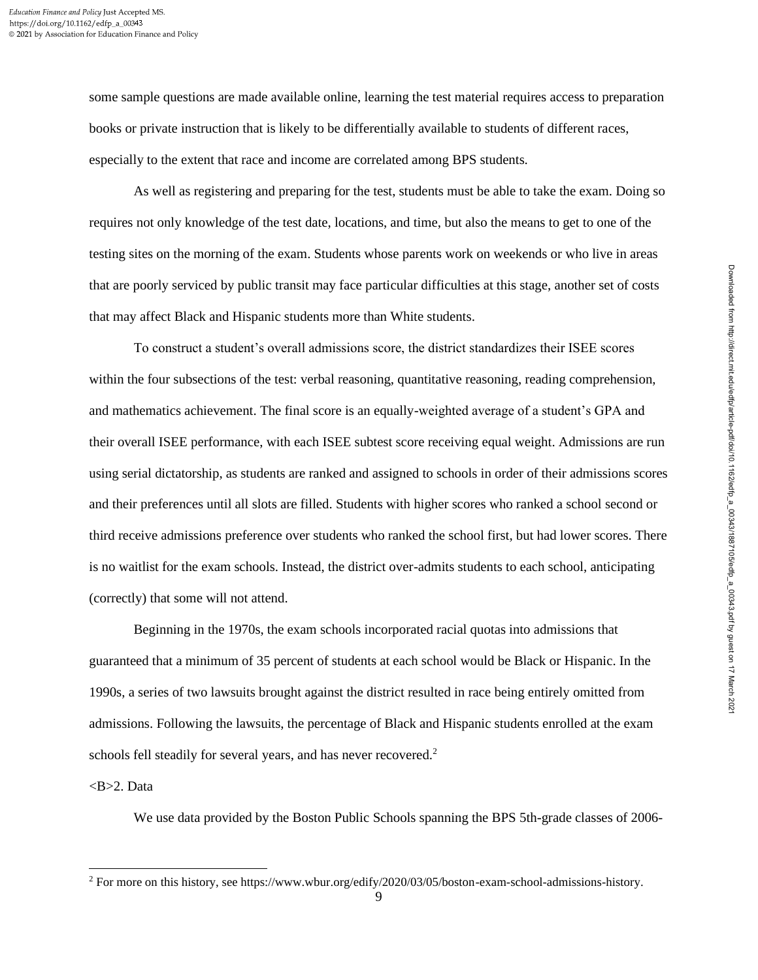some sample questions are made available online, learning the test material requires access to preparation books or private instruction that is likely to be differentially available to students of different races, especially to the extent that race and income are correlated among BPS students.

As well as registering and preparing for the test, students must be able to take the exam. Doing so requires not only knowledge of the test date, locations, and time, but also the means to get to one of the testing sites on the morning of the exam. Students whose parents work on weekends or who live in areas that are poorly serviced by public transit may face particular difficulties at this stage, another set of costs that may affect Black and Hispanic students more than White students.

To construct a student's overall admissions score, the district standardizes their ISEE scores within the four subsections of the test: verbal reasoning, quantitative reasoning, reading comprehension, and mathematics achievement. The final score is an equally-weighted average of a student's GPA and their overall ISEE performance, with each ISEE subtest score receiving equal weight. Admissions are run using serial dictatorship, as students are ranked and assigned to schools in order of their admissions scores and their preferences until all slots are filled. Students with higher scores who ranked a school second or third receive admissions preference over students who ranked the school first, but had lower scores. There is no waitlist for the exam schools. Instead, the district over-admits students to each school, anticipating (correctly) that some will not attend.

Beginning in the 1970s, the exam schools incorporated racial quotas into admissions that guaranteed that a minimum of 35 percent of students at each school would be Black or Hispanic. In the 1990s, a series of two lawsuits brought against the district resulted in race being entirely omitted from admissions. Following the lawsuits, the percentage of Black and Hispanic students enrolled at the exam schools fell steadily for several years, and has never recovered.<sup>2</sup>

## $<sub>B>2</sub>$ . Data</sub>

We use data provided by the Boston Public Schools spanning the BPS 5th-grade classes of 2006-

<sup>2</sup> For more on this history, see https://www.wbur.org/edify/2020/03/05/boston-exam-school-admissions-history.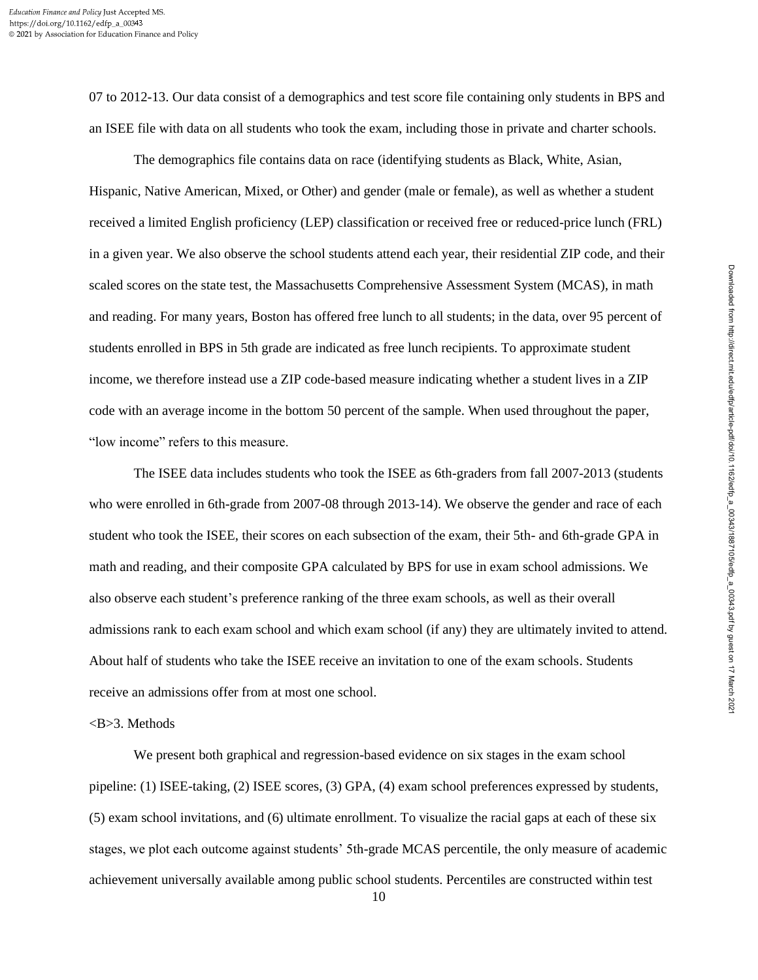07 to 2012-13. Our data consist of a demographics and test score file containing only students in BPS and an ISEE file with data on all students who took the exam, including those in private and charter schools.

The demographics file contains data on race (identifying students as Black, White, Asian, Hispanic, Native American, Mixed, or Other) and gender (male or female), as well as whether a student received a limited English proficiency (LEP) classification or received free or reduced-price lunch (FRL) in a given year. We also observe the school students attend each year, their residential ZIP code, and their scaled scores on the state test, the Massachusetts Comprehensive Assessment System (MCAS), in math and reading. For many years, Boston has offered free lunch to all students; in the data, over 95 percent of students enrolled in BPS in 5th grade are indicated as free lunch recipients. To approximate student income, we therefore instead use a ZIP code-based measure indicating whether a student lives in a ZIP code with an average income in the bottom 50 percent of the sample. When used throughout the paper, "low income" refers to this measure.

The ISEE data includes students who took the ISEE as 6th-graders from fall 2007-2013 (students who were enrolled in 6th-grade from 2007-08 through 2013-14). We observe the gender and race of each student who took the ISEE, their scores on each subsection of the exam, their 5th- and 6th-grade GPA in math and reading, and their composite GPA calculated by BPS for use in exam school admissions. We also observe each student's preference ranking of the three exam schools, as well as their overall admissions rank to each exam school and which exam school (if any) they are ultimately invited to attend. About half of students who take the ISEE receive an invitation to one of the exam schools. Students receive an admissions offer from at most one school.

# <B>3. Methods

We present both graphical and regression-based evidence on six stages in the exam school pipeline: (1) ISEE-taking, (2) ISEE scores, (3) GPA, (4) exam school preferences expressed by students, (5) exam school invitations, and (6) ultimate enrollment. To visualize the racial gaps at each of these six stages, we plot each outcome against students' 5th-grade MCAS percentile, the only measure of academic achievement universally available among public school students. Percentiles are constructed within test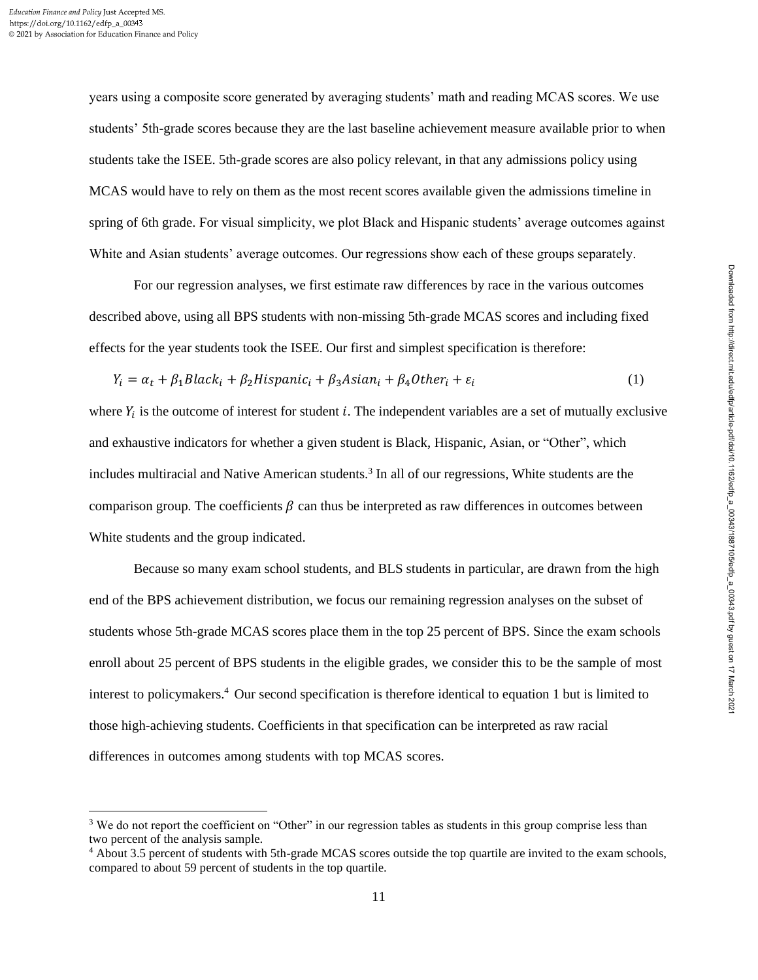years using a composite score generated by averaging students' math and reading MCAS scores. We use students' 5th-grade scores because they are the last baseline achievement measure available prior to when students take the ISEE. 5th-grade scores are also policy relevant, in that any admissions policy using MCAS would have to rely on them as the most recent scores available given the admissions timeline in spring of 6th grade. For visual simplicity, we plot Black and Hispanic students' average outcomes against White and Asian students' average outcomes. Our regressions show each of these groups separately.

For our regression analyses, we first estimate raw differences by race in the various outcomes described above, using all BPS students with non-missing 5th-grade MCAS scores and including fixed effects for the year students took the ISEE. Our first and simplest specification is therefore:

$$
Y_i = \alpha_t + \beta_1 Black_i + \beta_2Hispanic_i + \beta_3 Asian_i + \beta_4 Other_i + \varepsilon_i
$$
\n(1)

where  $Y_i$  is the outcome of interest for student i. The independent variables are a set of mutually exclusive and exhaustive indicators for whether a given student is Black, Hispanic, Asian, or "Other", which includes multiracial and Native American students.<sup>3</sup> In all of our regressions, White students are the comparison group. The coefficients  $\beta$  can thus be interpreted as raw differences in outcomes between White students and the group indicated.

Because so many exam school students, and BLS students in particular, are drawn from the high end of the BPS achievement distribution, we focus our remaining regression analyses on the subset of students whose 5th-grade MCAS scores place them in the top 25 percent of BPS. Since the exam schools enroll about 25 percent of BPS students in the eligible grades, we consider this to be the sample of most interest to policymakers.<sup>4</sup> Our second specification is therefore identical to equation 1 but is limited to those high-achieving students. Coefficients in that specification can be interpreted as raw racial differences in outcomes among students with top MCAS scores.

<sup>&</sup>lt;sup>3</sup> We do not report the coefficient on "Other" in our regression tables as students in this group comprise less than two percent of the analysis sample.

<sup>4</sup> About 3.5 percent of students with 5th-grade MCAS scores outside the top quartile are invited to the exam schools, compared to about 59 percent of students in the top quartile.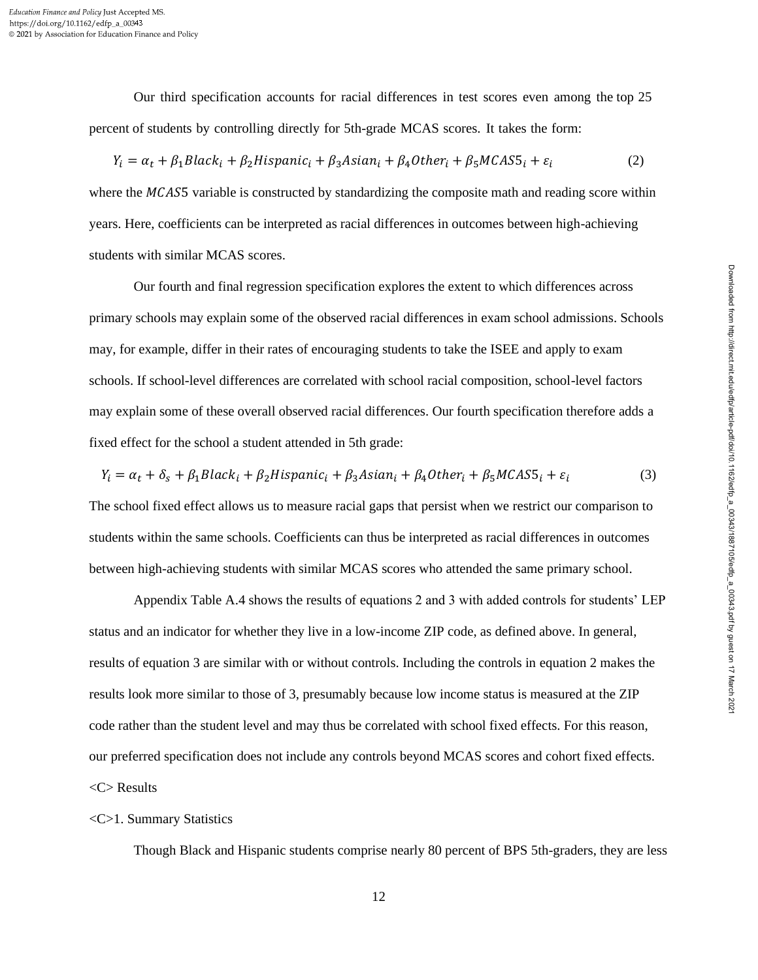Our third specification accounts for racial differences in test scores even among the top 25 percent of students by controlling directly for 5th-grade MCAS scores. It takes the form:

$$
Y_i = \alpha_t + \beta_1 Black_i + \beta_2 Hispanic_i + \beta_3 Asian_i + \beta_4 Other_i + \beta_5 MCAS5_i + \varepsilon_i
$$
 (2)

where the  $MCASS$  variable is constructed by standardizing the composite math and reading score within years. Here, coefficients can be interpreted as racial differences in outcomes between high-achieving students with similar MCAS scores.

Our fourth and final regression specification explores the extent to which differences across primary schools may explain some of the observed racial differences in exam school admissions. Schools may, for example, differ in their rates of encouraging students to take the ISEE and apply to exam schools. If school-level differences are correlated with school racial composition, school-level factors may explain some of these overall observed racial differences. Our fourth specification therefore adds a fixed effect for the school a student attended in 5th grade:

$$
Y_i = \alpha_t + \delta_s + \beta_1 Black_i + \beta_2Hispanic_i + \beta_3 Asian_i + \beta_4 Other_i + \beta_5 MCAS5_i + \varepsilon_i
$$
 (3)

The school fixed effect allows us to measure racial gaps that persist when we restrict our comparison to students within the same schools. Coefficients can thus be interpreted as racial differences in outcomes between high-achieving students with similar MCAS scores who attended the same primary school.

Appendix Table A.4 shows the results of equations 2 and 3 with added controls for students' LEP status and an indicator for whether they live in a low-income ZIP code, as defined above. In general, results of equation 3 are similar with or without controls. Including the controls in equation 2 makes the results look more similar to those of 3, presumably because low income status is measured at the ZIP code rather than the student level and may thus be correlated with school fixed effects. For this reason, our preferred specification does not include any controls beyond MCAS scores and cohort fixed effects. <C> Results

## <C>1. Summary Statistics

Though Black and Hispanic students comprise nearly 80 percent of BPS 5th-graders, they are less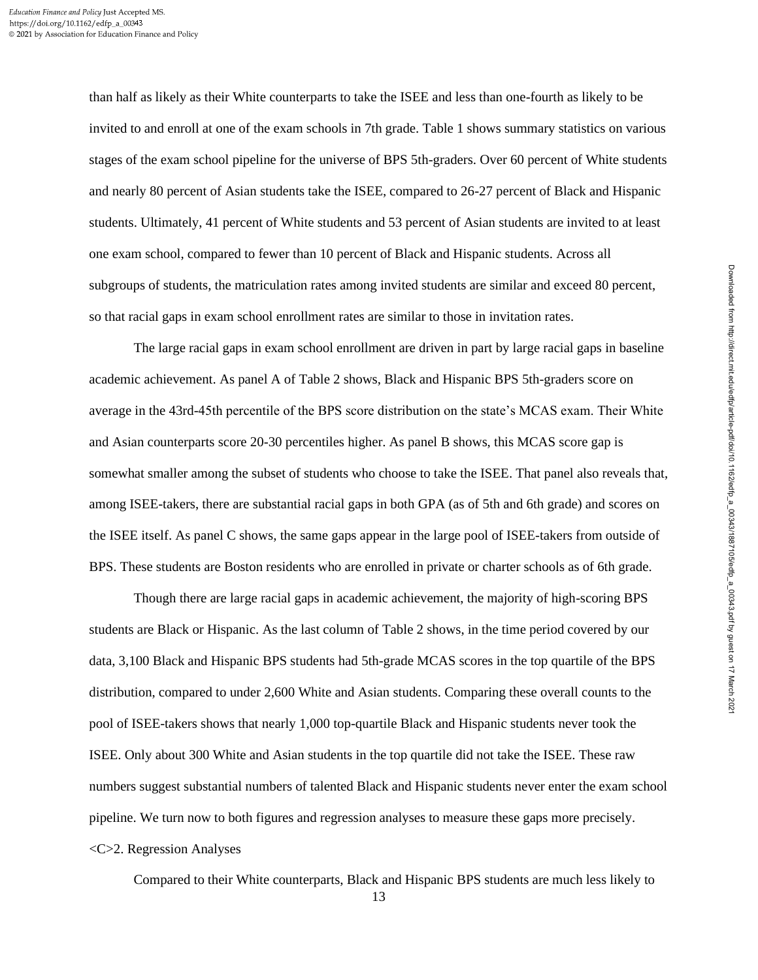than half as likely as their White counterparts to take the ISEE and less than one-fourth as likely to be invited to and enroll at one of the exam schools in 7th grade. Table 1 shows summary statistics on various stages of the exam school pipeline for the universe of BPS 5th-graders. Over 60 percent of White students and nearly 80 percent of Asian students take the ISEE, compared to 26-27 percent of Black and Hispanic students. Ultimately, 41 percent of White students and 53 percent of Asian students are invited to at least one exam school, compared to fewer than 10 percent of Black and Hispanic students. Across all subgroups of students, the matriculation rates among invited students are similar and exceed 80 percent, so that racial gaps in exam school enrollment rates are similar to those in invitation rates.

The large racial gaps in exam school enrollment are driven in part by large racial gaps in baseline academic achievement. As panel A of Table 2 shows, Black and Hispanic BPS 5th-graders score on average in the 43rd-45th percentile of the BPS score distribution on the state's MCAS exam. Their White and Asian counterparts score 20-30 percentiles higher. As panel B shows, this MCAS score gap is somewhat smaller among the subset of students who choose to take the ISEE. That panel also reveals that, among ISEE-takers, there are substantial racial gaps in both GPA (as of 5th and 6th grade) and scores on the ISEE itself. As panel C shows, the same gaps appear in the large pool of ISEE-takers from outside of BPS. These students are Boston residents who are enrolled in private or charter schools as of 6th grade.

Though there are large racial gaps in academic achievement, the majority of high-scoring BPS students are Black or Hispanic. As the last column of Table 2 shows, in the time period covered by our data, 3,100 Black and Hispanic BPS students had 5th-grade MCAS scores in the top quartile of the BPS distribution, compared to under 2,600 White and Asian students. Comparing these overall counts to the pool of ISEE-takers shows that nearly 1,000 top-quartile Black and Hispanic students never took the ISEE. Only about 300 White and Asian students in the top quartile did not take the ISEE. These raw numbers suggest substantial numbers of talented Black and Hispanic students never enter the exam school pipeline. We turn now to both figures and regression analyses to measure these gaps more precisely. <C>2. Regression Analyses

Compared to their White counterparts, Black and Hispanic BPS students are much less likely to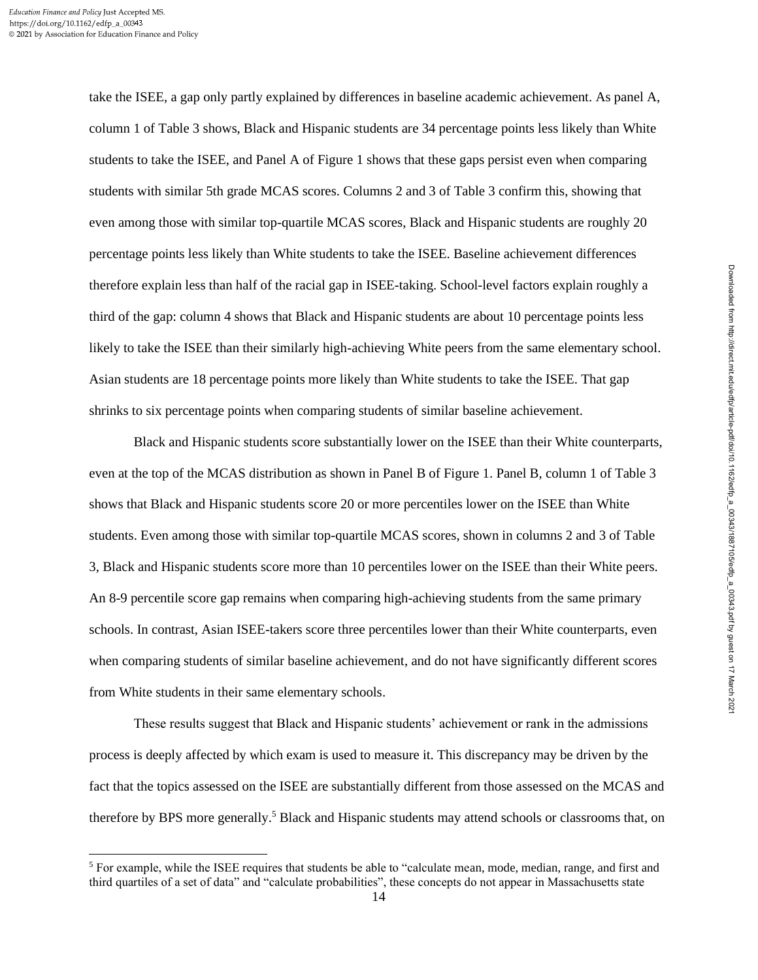take the ISEE, a gap only partly explained by differences in baseline academic achievement. As panel A, column 1 of Table 3 shows, Black and Hispanic students are 34 percentage points less likely than White students to take the ISEE, and Panel A of Figure 1 shows that these gaps persist even when comparing students with similar 5th grade MCAS scores. Columns 2 and 3 of Table 3 confirm this, showing that even among those with similar top-quartile MCAS scores, Black and Hispanic students are roughly 20 percentage points less likely than White students to take the ISEE. Baseline achievement differences therefore explain less than half of the racial gap in ISEE-taking. School-level factors explain roughly a third of the gap: column 4 shows that Black and Hispanic students are about 10 percentage points less likely to take the ISEE than their similarly high-achieving White peers from the same elementary school. Asian students are 18 percentage points more likely than White students to take the ISEE. That gap shrinks to six percentage points when comparing students of similar baseline achievement.

Black and Hispanic students score substantially lower on the ISEE than their White counterparts, even at the top of the MCAS distribution as shown in Panel B of Figure 1. Panel B, column 1 of Table 3 shows that Black and Hispanic students score 20 or more percentiles lower on the ISEE than White students. Even among those with similar top-quartile MCAS scores, shown in columns 2 and 3 of Table 3, Black and Hispanic students score more than 10 percentiles lower on the ISEE than their White peers. An 8-9 percentile score gap remains when comparing high-achieving students from the same primary schools. In contrast, Asian ISEE-takers score three percentiles lower than their White counterparts, even when comparing students of similar baseline achievement, and do not have significantly different scores from White students in their same elementary schools.

These results suggest that Black and Hispanic students' achievement or rank in the admissions process is deeply affected by which exam is used to measure it. This discrepancy may be driven by the fact that the topics assessed on the ISEE are substantially different from those assessed on the MCAS and therefore by BPS more generally.<sup>5</sup> Black and Hispanic students may attend schools or classrooms that, on Downloaded from http://direct.mit.edu/edfp/article-pdf/doi/10.1162/edfp\_a\_00343/1887105/edfp\_a\_00343.pdf by guest on 17 March 2021

Downloaded from http://direct.mit.edu/edfp/article-pdf/doi/10.1162/edfp\_a\_00343/1887105/edfp\_a\_00343.pdf by guest on 17 March 2021

 $<sup>5</sup>$  For example, while the ISEE requires that students be able to "calculate mean, mode, median, range, and first and</sup> third quartiles of a set of data" and "calculate probabilities", these concepts do not appear in Massachusetts state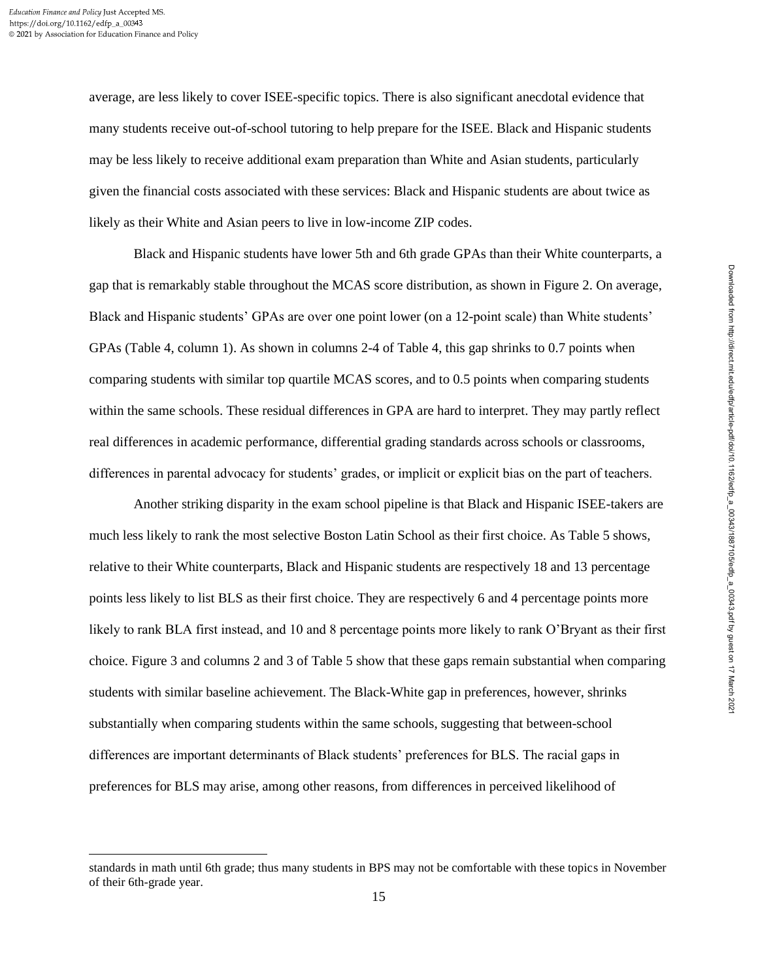average, are less likely to cover ISEE-specific topics. There is also significant anecdotal evidence that many students receive out-of-school tutoring to help prepare for the ISEE. Black and Hispanic students may be less likely to receive additional exam preparation than White and Asian students, particularly given the financial costs associated with these services: Black and Hispanic students are about twice as likely as their White and Asian peers to live in low-income ZIP codes.

Black and Hispanic students have lower 5th and 6th grade GPAs than their White counterparts, a gap that is remarkably stable throughout the MCAS score distribution, as shown in Figure 2. On average, Black and Hispanic students' GPAs are over one point lower (on a 12-point scale) than White students' GPAs (Table 4, column 1). As shown in columns 2-4 of Table 4, this gap shrinks to 0.7 points when comparing students with similar top quartile MCAS scores, and to 0.5 points when comparing students within the same schools. These residual differences in GPA are hard to interpret. They may partly reflect real differences in academic performance, differential grading standards across schools or classrooms, differences in parental advocacy for students' grades, or implicit or explicit bias on the part of teachers.

Another striking disparity in the exam school pipeline is that Black and Hispanic ISEE-takers are much less likely to rank the most selective Boston Latin School as their first choice. As Table 5 shows, relative to their White counterparts, Black and Hispanic students are respectively 18 and 13 percentage points less likely to list BLS as their first choice. They are respectively 6 and 4 percentage points more likely to rank BLA first instead, and 10 and 8 percentage points more likely to rank O'Bryant as their first choice. Figure 3 and columns 2 and 3 of Table 5 show that these gaps remain substantial when comparing students with similar baseline achievement. The Black-White gap in preferences, however, shrinks substantially when comparing students within the same schools, suggesting that between-school differences are important determinants of Black students' preferences for BLS. The racial gaps in preferences for BLS may arise, among other reasons, from differences in perceived likelihood of

standards in math until 6th grade; thus many students in BPS may not be comfortable with these topics in November of their 6th-grade year.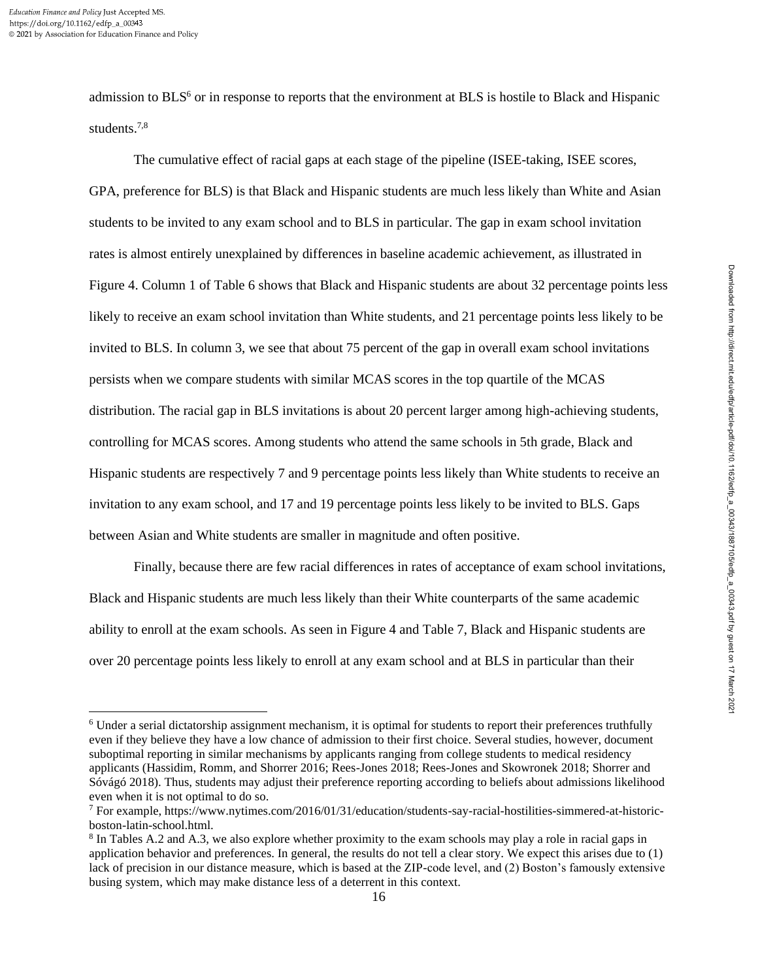admission to BLS<sup>6</sup> or in response to reports that the environment at BLS is hostile to Black and Hispanic students.7,8

The cumulative effect of racial gaps at each stage of the pipeline (ISEE-taking, ISEE scores, GPA, preference for BLS) is that Black and Hispanic students are much less likely than White and Asian students to be invited to any exam school and to BLS in particular. The gap in exam school invitation rates is almost entirely unexplained by differences in baseline academic achievement, as illustrated in Figure 4. Column 1 of Table 6 shows that Black and Hispanic students are about 32 percentage points less likely to receive an exam school invitation than White students, and 21 percentage points less likely to be invited to BLS. In column 3, we see that about 75 percent of the gap in overall exam school invitations persists when we compare students with similar MCAS scores in the top quartile of the MCAS distribution. The racial gap in BLS invitations is about 20 percent larger among high-achieving students, controlling for MCAS scores. Among students who attend the same schools in 5th grade, Black and Hispanic students are respectively 7 and 9 percentage points less likely than White students to receive an invitation to any exam school, and 17 and 19 percentage points less likely to be invited to BLS. Gaps between Asian and White students are smaller in magnitude and often positive.

Finally, because there are few racial differences in rates of acceptance of exam school invitations, Black and Hispanic students are much less likely than their White counterparts of the same academic ability to enroll at the exam schools. As seen in Figure 4 and Table 7, Black and Hispanic students are over 20 percentage points less likely to enroll at any exam school and at BLS in particular than their

<sup>6</sup> Under a serial dictatorship assignment mechanism, it is optimal for students to report their preferences truthfully even if they believe they have a low chance of admission to their first choice. Several studies, however, document suboptimal reporting in similar mechanisms by applicants ranging from college students to medical residency applicants (Hassidim, Romm, and Shorrer 2016; Rees-Jones 2018; Rees-Jones and Skowronek 2018; Shorrer and Sóvágó 2018). Thus, students may adjust their preference reporting according to beliefs about admissions likelihood even when it is not optimal to do so.

<sup>7</sup> For example, https://www.nytimes.com/2016/01/31/education/students-say-racial-hostilities-simmered-at-historicboston-latin-school.html.

<sup>&</sup>lt;sup>8</sup> In Tables A.2 and A.3, we also explore whether proximity to the exam schools may play a role in racial gaps in application behavior and preferences. In general, the results do not tell a clear story. We expect this arises due to (1) lack of precision in our distance measure, which is based at the ZIP-code level, and (2) Boston's famously extensive busing system, which may make distance less of a deterrent in this context.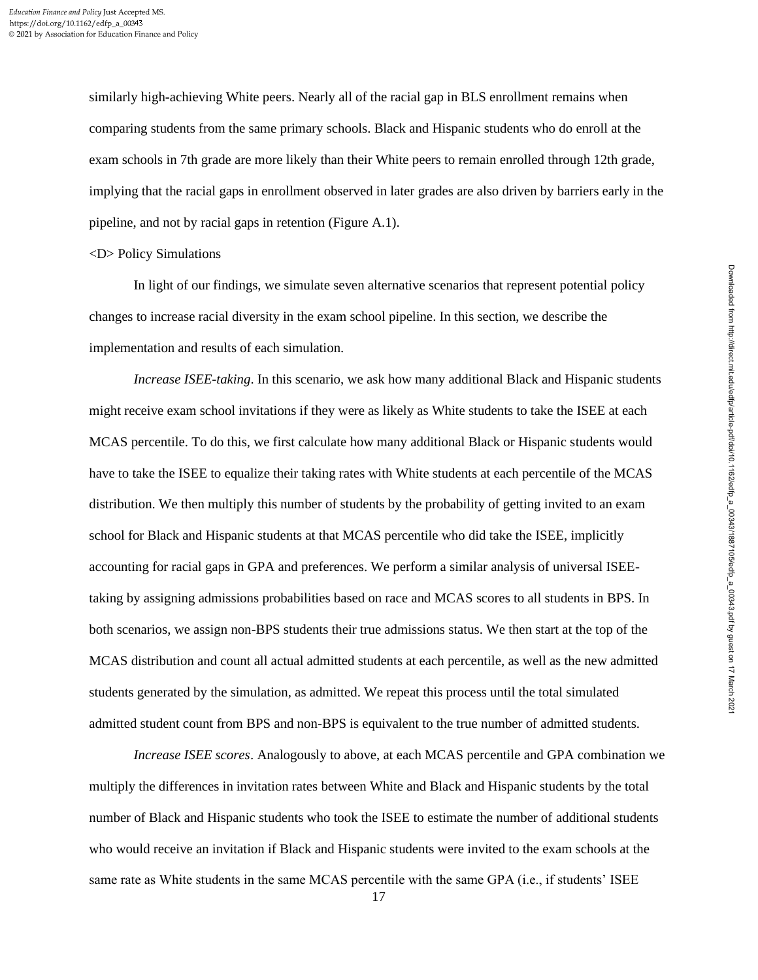similarly high-achieving White peers. Nearly all of the racial gap in BLS enrollment remains when comparing students from the same primary schools. Black and Hispanic students who do enroll at the exam schools in 7th grade are more likely than their White peers to remain enrolled through 12th grade, implying that the racial gaps in enrollment observed in later grades are also driven by barriers early in the pipeline, and not by racial gaps in retention (Figure A.1).

### <D> Policy Simulations

In light of our findings, we simulate seven alternative scenarios that represent potential policy changes to increase racial diversity in the exam school pipeline. In this section, we describe the implementation and results of each simulation.

*Increase ISEE-taking*. In this scenario, we ask how many additional Black and Hispanic students might receive exam school invitations if they were as likely as White students to take the ISEE at each MCAS percentile. To do this, we first calculate how many additional Black or Hispanic students would have to take the ISEE to equalize their taking rates with White students at each percentile of the MCAS distribution. We then multiply this number of students by the probability of getting invited to an exam school for Black and Hispanic students at that MCAS percentile who did take the ISEE, implicitly accounting for racial gaps in GPA and preferences. We perform a similar analysis of universal ISEEtaking by assigning admissions probabilities based on race and MCAS scores to all students in BPS. In both scenarios, we assign non-BPS students their true admissions status. We then start at the top of the MCAS distribution and count all actual admitted students at each percentile, as well as the new admitted students generated by the simulation, as admitted. We repeat this process until the total simulated admitted student count from BPS and non-BPS is equivalent to the true number of admitted students.

*Increase ISEE scores*. Analogously to above, at each MCAS percentile and GPA combination we multiply the differences in invitation rates between White and Black and Hispanic students by the total number of Black and Hispanic students who took the ISEE to estimate the number of additional students who would receive an invitation if Black and Hispanic students were invited to the exam schools at the same rate as White students in the same MCAS percentile with the same GPA (i.e., if students' ISEE

17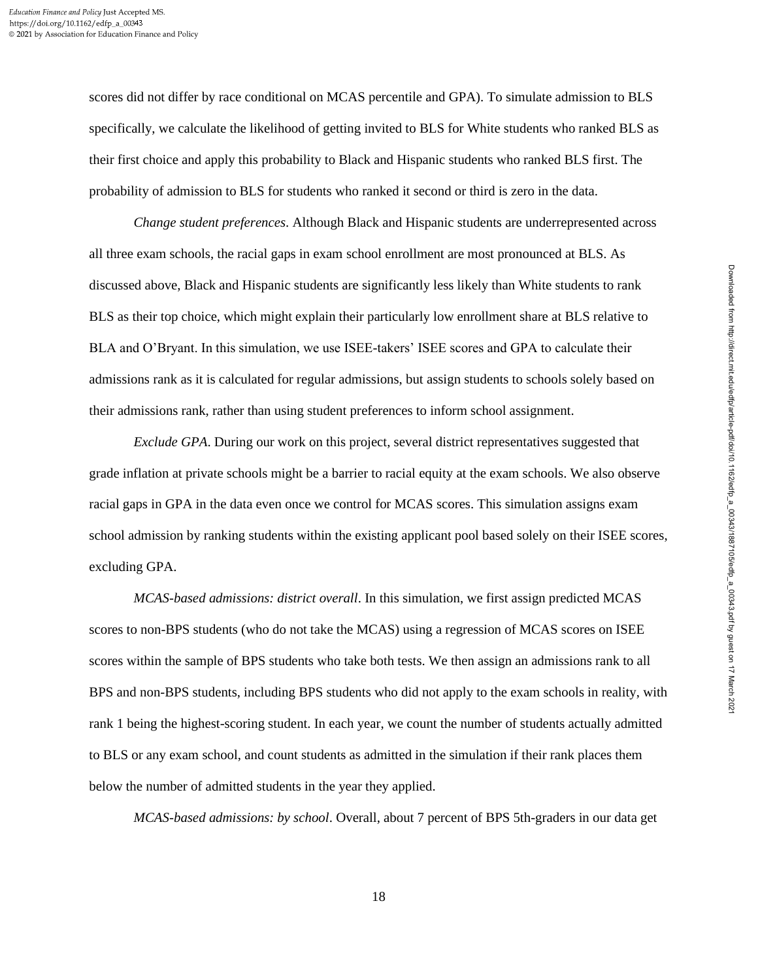scores did not differ by race conditional on MCAS percentile and GPA). To simulate admission to BLS specifically, we calculate the likelihood of getting invited to BLS for White students who ranked BLS as their first choice and apply this probability to Black and Hispanic students who ranked BLS first. The probability of admission to BLS for students who ranked it second or third is zero in the data.

*Change student preferences*. Although Black and Hispanic students are underrepresented across all three exam schools, the racial gaps in exam school enrollment are most pronounced at BLS. As discussed above, Black and Hispanic students are significantly less likely than White students to rank BLS as their top choice, which might explain their particularly low enrollment share at BLS relative to BLA and O'Bryant. In this simulation, we use ISEE-takers' ISEE scores and GPA to calculate their admissions rank as it is calculated for regular admissions, but assign students to schools solely based on their admissions rank, rather than using student preferences to inform school assignment.

*Exclude GPA*. During our work on this project, several district representatives suggested that grade inflation at private schools might be a barrier to racial equity at the exam schools. We also observe racial gaps in GPA in the data even once we control for MCAS scores. This simulation assigns exam school admission by ranking students within the existing applicant pool based solely on their ISEE scores, excluding GPA.

*MCAS-based admissions: district overall*. In this simulation, we first assign predicted MCAS scores to non-BPS students (who do not take the MCAS) using a regression of MCAS scores on ISEE scores within the sample of BPS students who take both tests. We then assign an admissions rank to all BPS and non-BPS students, including BPS students who did not apply to the exam schools in reality, with rank 1 being the highest-scoring student. In each year, we count the number of students actually admitted to BLS or any exam school, and count students as admitted in the simulation if their rank places them below the number of admitted students in the year they applied.

*MCAS-based admissions: by school*. Overall, about 7 percent of BPS 5th-graders in our data get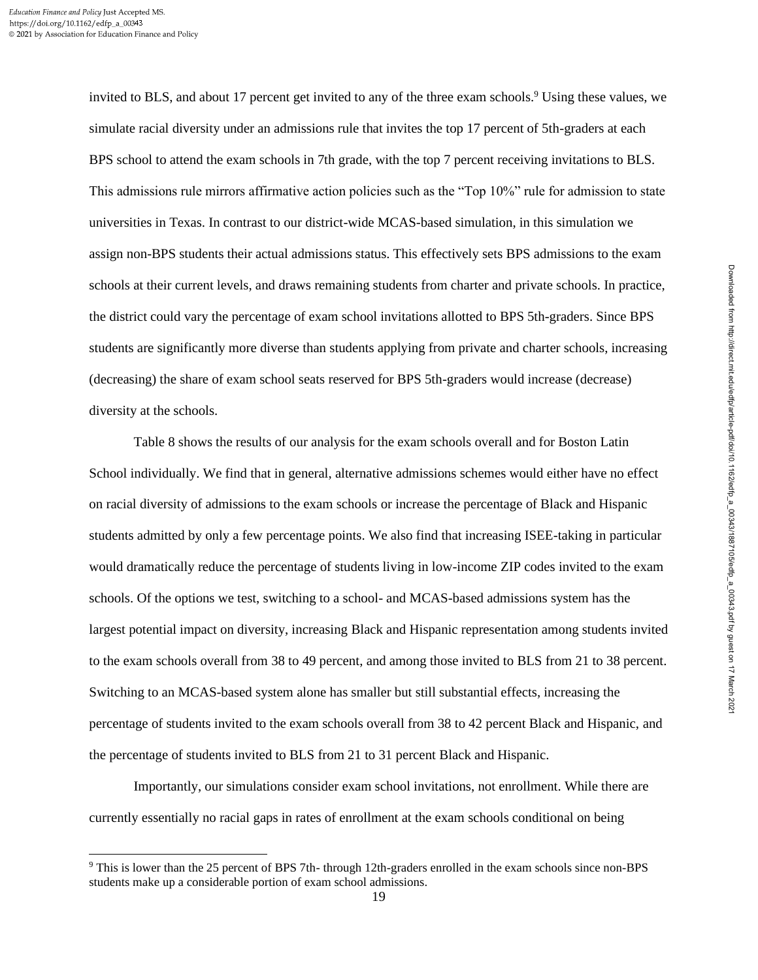invited to BLS, and about 17 percent get invited to any of the three exam schools.<sup>9</sup> Using these values, we simulate racial diversity under an admissions rule that invites the top 17 percent of 5th-graders at each BPS school to attend the exam schools in 7th grade, with the top 7 percent receiving invitations to BLS. This admissions rule mirrors affirmative action policies such as the "Top 10%" rule for admission to state universities in Texas. In contrast to our district-wide MCAS-based simulation, in this simulation we assign non-BPS students their actual admissions status. This effectively sets BPS admissions to the exam schools at their current levels, and draws remaining students from charter and private schools. In practice, the district could vary the percentage of exam school invitations allotted to BPS 5th-graders. Since BPS students are significantly more diverse than students applying from private and charter schools, increasing (decreasing) the share of exam school seats reserved for BPS 5th-graders would increase (decrease) diversity at the schools.

Table 8 shows the results of our analysis for the exam schools overall and for Boston Latin School individually. We find that in general, alternative admissions schemes would either have no effect on racial diversity of admissions to the exam schools or increase the percentage of Black and Hispanic students admitted by only a few percentage points. We also find that increasing ISEE-taking in particular would dramatically reduce the percentage of students living in low-income ZIP codes invited to the exam schools. Of the options we test, switching to a school- and MCAS-based admissions system has the largest potential impact on diversity, increasing Black and Hispanic representation among students invited to the exam schools overall from 38 to 49 percent, and among those invited to BLS from 21 to 38 percent. Switching to an MCAS-based system alone has smaller but still substantial effects, increasing the percentage of students invited to the exam schools overall from 38 to 42 percent Black and Hispanic, and the percentage of students invited to BLS from 21 to 31 percent Black and Hispanic.

Importantly, our simulations consider exam school invitations, not enrollment. While there are currently essentially no racial gaps in rates of enrollment at the exam schools conditional on being

<sup>9</sup> This is lower than the 25 percent of BPS 7th- through 12th-graders enrolled in the exam schools since non-BPS students make up a considerable portion of exam school admissions.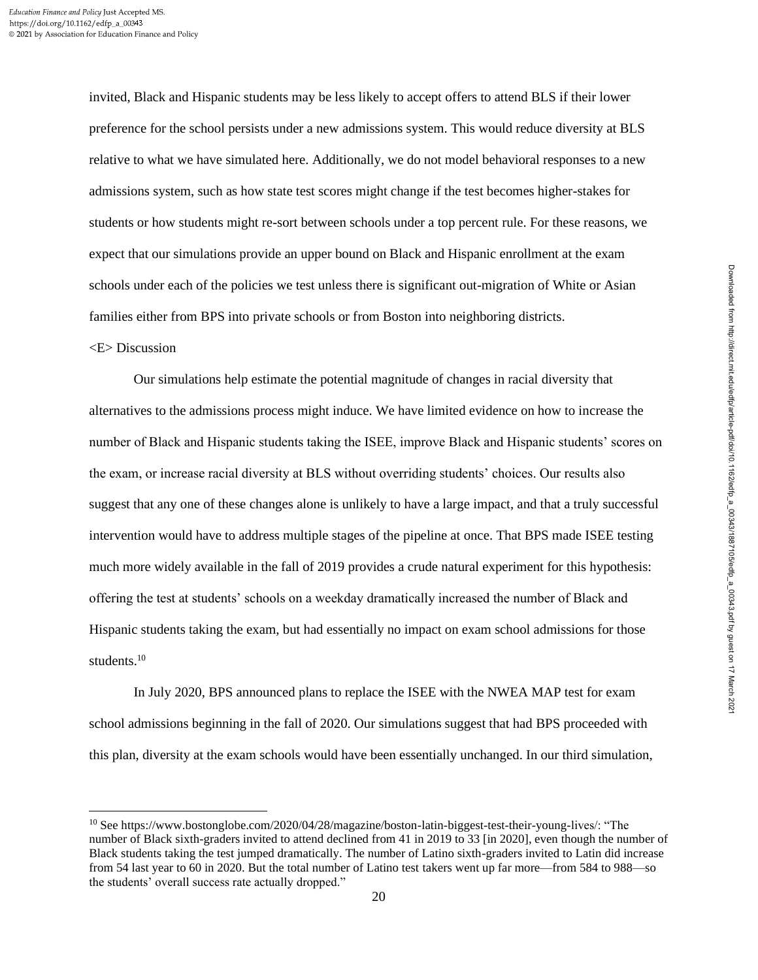invited, Black and Hispanic students may be less likely to accept offers to attend BLS if their lower preference for the school persists under a new admissions system. This would reduce diversity at BLS relative to what we have simulated here. Additionally, we do not model behavioral responses to a new admissions system, such as how state test scores might change if the test becomes higher-stakes for students or how students might re-sort between schools under a top percent rule. For these reasons, we expect that our simulations provide an upper bound on Black and Hispanic enrollment at the exam schools under each of the policies we test unless there is significant out-migration of White or Asian families either from BPS into private schools or from Boston into neighboring districts.

# <E> Discussion

Our simulations help estimate the potential magnitude of changes in racial diversity that alternatives to the admissions process might induce. We have limited evidence on how to increase the number of Black and Hispanic students taking the ISEE, improve Black and Hispanic students' scores on the exam, or increase racial diversity at BLS without overriding students' choices. Our results also suggest that any one of these changes alone is unlikely to have a large impact, and that a truly successful intervention would have to address multiple stages of the pipeline at once. That BPS made ISEE testing much more widely available in the fall of 2019 provides a crude natural experiment for this hypothesis: offering the test at students' schools on a weekday dramatically increased the number of Black and Hispanic students taking the exam, but had essentially no impact on exam school admissions for those students.<sup>10</sup>

In July 2020, BPS announced plans to replace the ISEE with the NWEA MAP test for exam school admissions beginning in the fall of 2020. Our simulations suggest that had BPS proceeded with this plan, diversity at the exam schools would have been essentially unchanged. In our third simulation,

<sup>10</sup> See https://www.bostonglobe.com/2020/04/28/magazine/boston-latin-biggest-test-their-young-lives/: "The number of Black sixth-graders invited to attend declined from 41 in 2019 to 33 [in 2020], even though the number of Black students taking the test jumped dramatically. The number of Latino sixth-graders invited to Latin did increase from 54 last year to 60 in 2020. But the total number of Latino test takers went up far more—from 584 to 988—so the students' overall success rate actually dropped."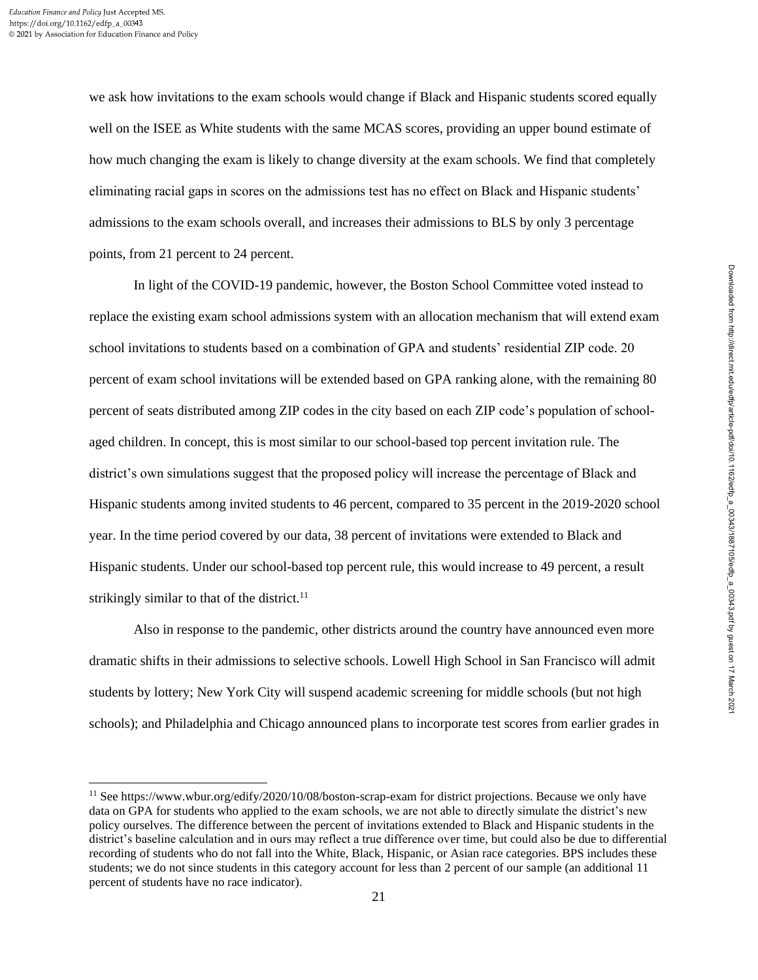we ask how invitations to the exam schools would change if Black and Hispanic students scored equally well on the ISEE as White students with the same MCAS scores, providing an upper bound estimate of how much changing the exam is likely to change diversity at the exam schools. We find that completely eliminating racial gaps in scores on the admissions test has no effect on Black and Hispanic students' admissions to the exam schools overall, and increases their admissions to BLS by only 3 percentage points, from 21 percent to 24 percent.

In light of the COVID-19 pandemic, however, the Boston School Committee voted instead to replace the existing exam school admissions system with an allocation mechanism that will extend exam school invitations to students based on a combination of GPA and students' residential ZIP code. 20 percent of exam school invitations will be extended based on GPA ranking alone, with the remaining 80 percent of seats distributed among ZIP codes in the city based on each ZIP code's population of schoolaged children. In concept, this is most similar to our school-based top percent invitation rule. The district's own simulations suggest that the proposed policy will increase the percentage of Black and Hispanic students among invited students to 46 percent, compared to 35 percent in the 2019-2020 school year. In the time period covered by our data, 38 percent of invitations were extended to Black and Hispanic students. Under our school-based top percent rule, this would increase to 49 percent, a result strikingly similar to that of the district. $11$ 

Also in response to the pandemic, other districts around the country have announced even more dramatic shifts in their admissions to selective schools. Lowell High School in San Francisco will admit students by lottery; New York City will suspend academic screening for middle schools (but not high schools); and Philadelphia and Chicago announced plans to incorporate test scores from earlier grades in

<sup>&</sup>lt;sup>11</sup> See https://www.wbur.org/edify/2020/10/08/boston-scrap-exam for district projections. Because we only have data on GPA for students who applied to the exam schools, we are not able to directly simulate the district's new policy ourselves. The difference between the percent of invitations extended to Black and Hispanic students in the district's baseline calculation and in ours may reflect a true difference over time, but could also be due to differential recording of students who do not fall into the White, Black, Hispanic, or Asian race categories. BPS includes these students; we do not since students in this category account for less than 2 percent of our sample (an additional 11 percent of students have no race indicator).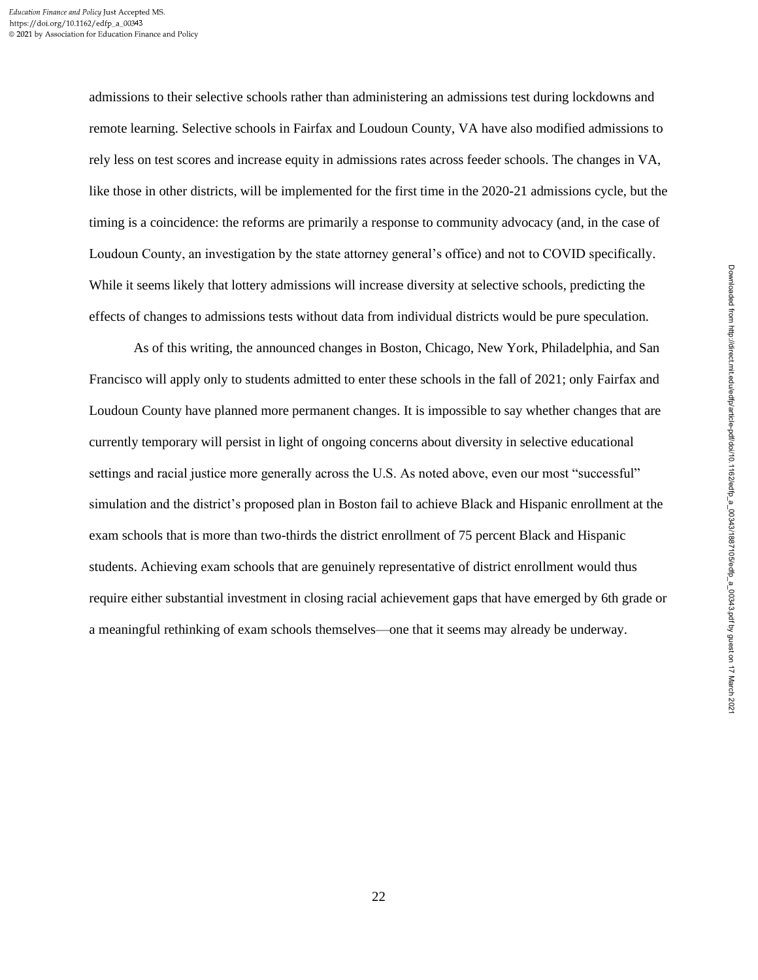admissions to their selective schools rather than administering an admissions test during lockdowns and remote learning. Selective schools in Fairfax and Loudoun County, VA have also modified admissions to rely less on test scores and increase equity in admissions rates across feeder schools. The changes in VA, like those in other districts, will be implemented for the first time in the 2020-21 admissions cycle, but the timing is a coincidence: the reforms are primarily a response to community advocacy (and, in the case of Loudoun County, an investigation by the state attorney general's office) and not to COVID specifically. While it seems likely that lottery admissions will increase diversity at selective schools, predicting the effects of changes to admissions tests without data from individual districts would be pure speculation.

As of this writing, the announced changes in Boston, Chicago, New York, Philadelphia, and San Francisco will apply only to students admitted to enter these schools in the fall of 2021; only Fairfax and Loudoun County have planned more permanent changes. It is impossible to say whether changes that are currently temporary will persist in light of ongoing concerns about diversity in selective educational settings and racial justice more generally across the U.S. As noted above, even our most "successful" simulation and the district's proposed plan in Boston fail to achieve Black and Hispanic enrollment at the exam schools that is more than two-thirds the district enrollment of 75 percent Black and Hispanic students. Achieving exam schools that are genuinely representative of district enrollment would thus require either substantial investment in closing racial achievement gaps that have emerged by 6th grade or a meaningful rethinking of exam schools themselves—one that it seems may already be underway.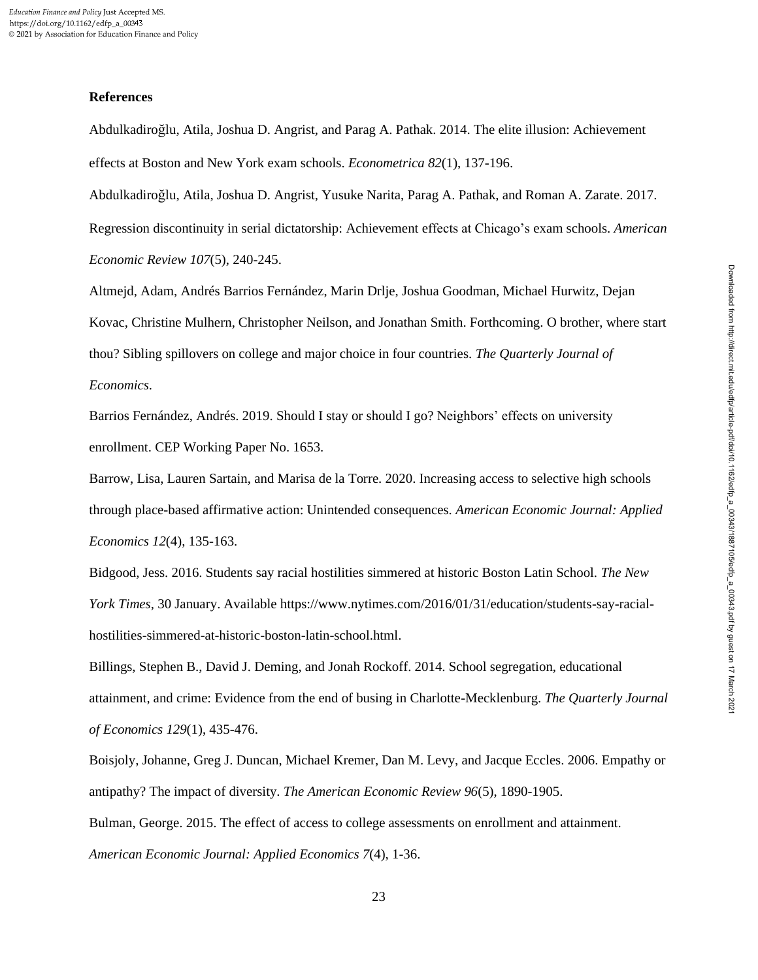## **References**

Abdulkadiroğlu, Atila, Joshua D. Angrist, and Parag A. Pathak. 2014. The elite illusion: Achievement effects at Boston and New York exam schools. *Econometrica 82*(1), 137-196.

Abdulkadiroğlu, Atila, Joshua D. Angrist, Yusuke Narita, Parag A. Pathak, and Roman A. Zarate. 2017. Regression discontinuity in serial dictatorship: Achievement effects at Chicago's exam schools. *American Economic Review 107*(5), 240-245.

Altmejd, Adam, Andrés Barrios Fernández, Marin Drlje, Joshua Goodman, Michael Hurwitz, Dejan Kovac, Christine Mulhern, Christopher Neilson, and Jonathan Smith. Forthcoming. O brother, where start thou? Sibling spillovers on college and major choice in four countries. *The Quarterly Journal of Economics*.

Barrios Fernández, Andrés. 2019. Should I stay or should I go? Neighbors' effects on university enrollment. CEP Working Paper No. 1653.

Barrow, Lisa, Lauren Sartain, and Marisa de la Torre. 2020. Increasing access to selective high schools through place-based affirmative action: Unintended consequences. *American Economic Journal: Applied Economics 12*(4), 135-163.

Bidgood, Jess. 2016. Students say racial hostilities simmered at historic Boston Latin School. *The New York Times*, 30 January. Available https://www.nytimes.com/2016/01/31/education/students-say-racialhostilities-simmered-at-historic-boston-latin-school.html.

Billings, Stephen B., David J. Deming, and Jonah Rockoff. 2014. School segregation, educational attainment, and crime: Evidence from the end of busing in Charlotte-Mecklenburg. *The Quarterly Journal of Economics 129*(1), 435-476.

Boisjoly, Johanne, Greg J. Duncan, Michael Kremer, Dan M. Levy, and Jacque Eccles. 2006. Empathy or antipathy? The impact of diversity. *The American Economic Review 96*(5), 1890-1905.

Bulman, George. 2015. The effect of access to college assessments on enrollment and attainment. *American Economic Journal: Applied Economics 7*(4), 1-36.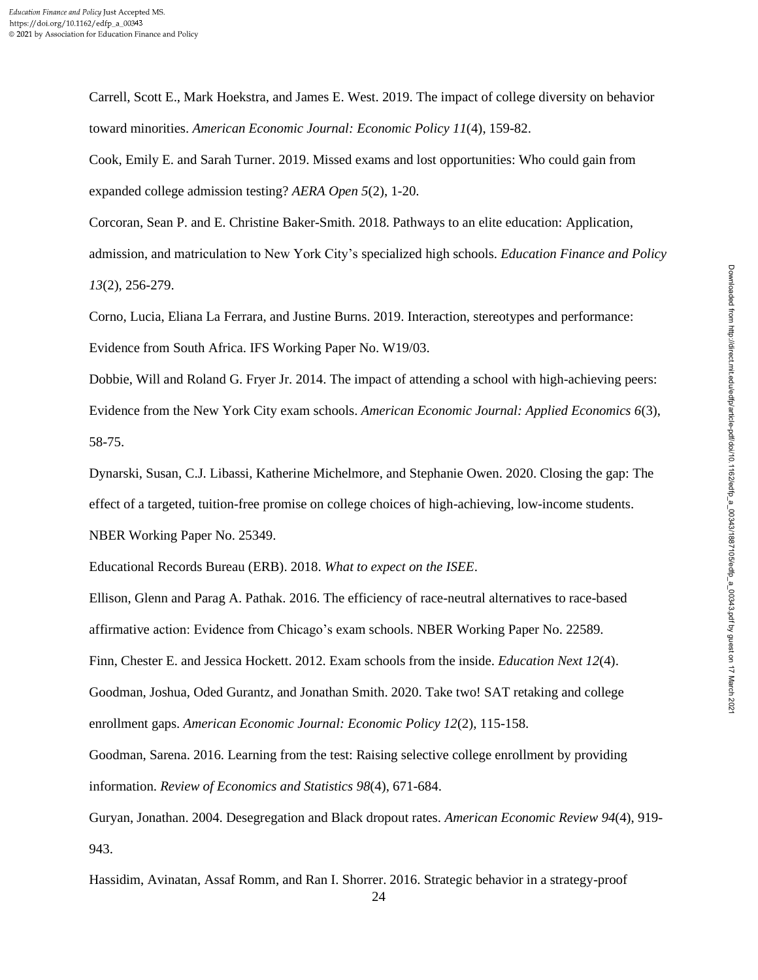Carrell, Scott E., Mark Hoekstra, and James E. West. 2019. The impact of college diversity on behavior toward minorities. *American Economic Journal: Economic Policy 11*(4), 159-82.

Cook, Emily E. and Sarah Turner. 2019. Missed exams and lost opportunities: Who could gain from expanded college admission testing? *AERA Open 5*(2), 1-20.

Corcoran, Sean P. and E. Christine Baker-Smith. 2018. Pathways to an elite education: Application, admission, and matriculation to New York City's specialized high schools. *Education Finance and Policy 13*(2), 256-279.

Corno, Lucia, Eliana La Ferrara, and Justine Burns. 2019. Interaction, stereotypes and performance: Evidence from South Africa. IFS Working Paper No. W19/03.

Dobbie, Will and Roland G. Fryer Jr. 2014. The impact of attending a school with high-achieving peers: Evidence from the New York City exam schools. *American Economic Journal: Applied Economics 6*(3), 58-75.

Dynarski, Susan, C.J. Libassi, Katherine Michelmore, and Stephanie Owen. 2020. Closing the gap: The effect of a targeted, tuition-free promise on college choices of high-achieving, low-income students. NBER Working Paper No. 25349.

Educational Records Bureau (ERB). 2018. *What to expect on the ISEE*.

Ellison, Glenn and Parag A. Pathak. 2016. The efficiency of race-neutral alternatives to race-based affirmative action: Evidence from Chicago's exam schools. NBER Working Paper No. 22589.

Finn, Chester E. and Jessica Hockett. 2012. Exam schools from the inside. *Education Next 12*(4).

Goodman, Joshua, Oded Gurantz, and Jonathan Smith. 2020. Take two! SAT retaking and college enrollment gaps. *American Economic Journal: Economic Policy 12*(2), 115-158.

Goodman, Sarena. 2016. Learning from the test: Raising selective college enrollment by providing information. *Review of Economics and Statistics 98*(4), 671-684.

Guryan, Jonathan. 2004. Desegregation and Black dropout rates. *American Economic Review 94*(4), 919- 943.

Hassidim, Avinatan, Assaf Romm, and Ran I. Shorrer. 2016. Strategic behavior in a strategy-proof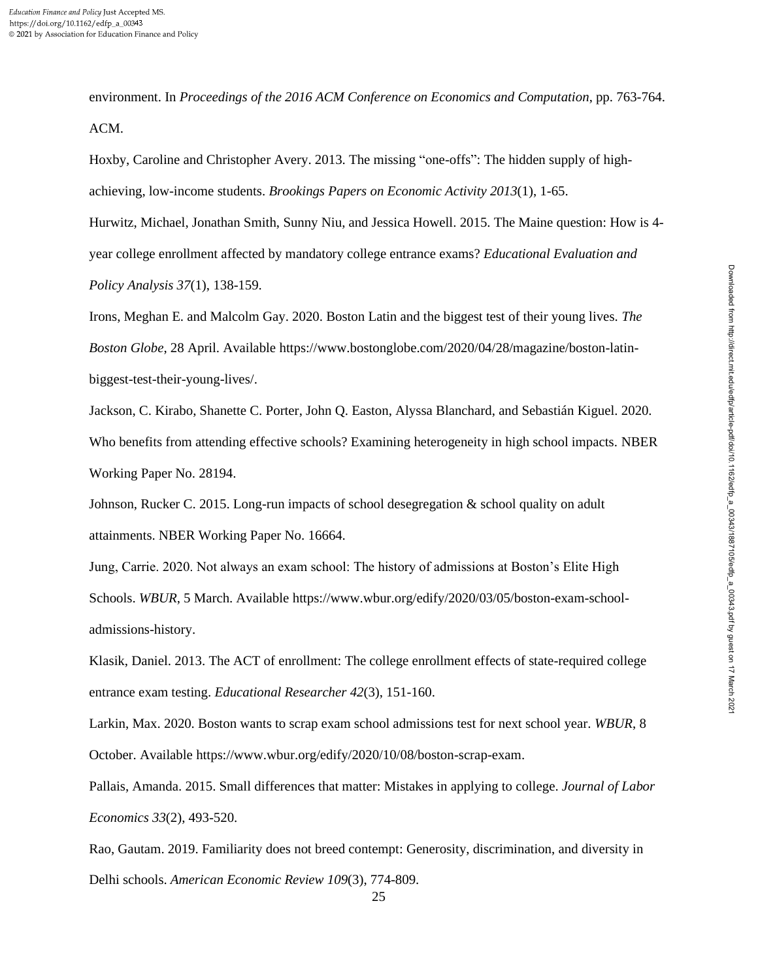environment. In *Proceedings of the 2016 ACM Conference on Economics and Computation*, pp. 763-764. ACM.

Hoxby, Caroline and Christopher Avery. 2013. The missing "one-offs": The hidden supply of highachieving, low-income students. *Brookings Papers on Economic Activity 2013*(1), 1-65.

Hurwitz, Michael, Jonathan Smith, Sunny Niu, and Jessica Howell. 2015. The Maine question: How is 4 year college enrollment affected by mandatory college entrance exams? *Educational Evaluation and Policy Analysis 37*(1), 138-159.

Irons, Meghan E. and Malcolm Gay. 2020. Boston Latin and the biggest test of their young lives. *The Boston Globe*, 28 April. Available https://www.bostonglobe.com/2020/04/28/magazine/boston-latinbiggest-test-their-young-lives/.

Jackson, C. Kirabo, Shanette C. Porter, John Q. Easton, Alyssa Blanchard, and Sebastián Kiguel. 2020. Who benefits from attending effective schools? Examining heterogeneity in high school impacts. NBER Working Paper No. 28194.

Johnson, Rucker C. 2015. Long-run impacts of school desegregation & school quality on adult attainments. NBER Working Paper No. 16664.

Jung, Carrie. 2020. Not always an exam school: The history of admissions at Boston's Elite High Schools. *WBUR*, 5 March. Available https://www.wbur.org/edify/2020/03/05/boston-exam-schooladmissions-history.

Klasik, Daniel. 2013. The ACT of enrollment: The college enrollment effects of state-required college entrance exam testing. *Educational Researcher 42*(3), 151-160.

Larkin, Max. 2020. Boston wants to scrap exam school admissions test for next school year. *WBUR*, 8 October. Available https://www.wbur.org/edify/2020/10/08/boston-scrap-exam.

Pallais, Amanda. 2015. Small differences that matter: Mistakes in applying to college. *Journal of Labor Economics 33*(2), 493-520.

Rao, Gautam. 2019. Familiarity does not breed contempt: Generosity, discrimination, and diversity in Delhi schools. *American Economic Review 109*(3), 774-809.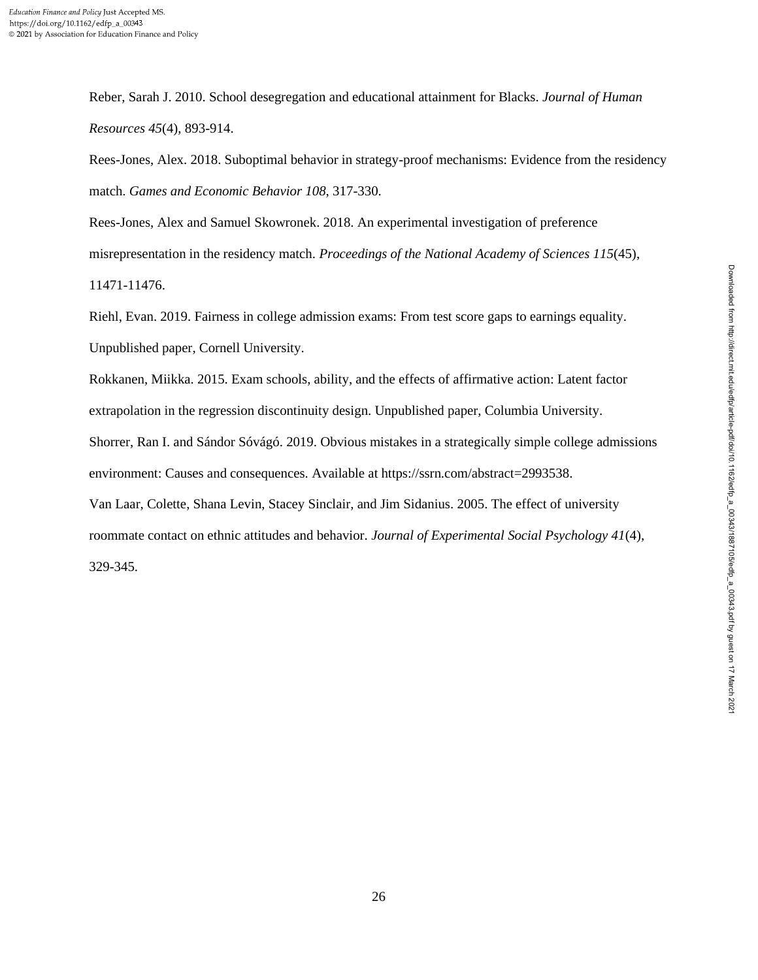Reber, Sarah J. 2010. School desegregation and educational attainment for Blacks. *Journal of Human Resources 45*(4), 893-914.

Rees-Jones, Alex. 2018. Suboptimal behavior in strategy-proof mechanisms: Evidence from the residency match. *Games and Economic Behavior 108*, 317-330.

Rees-Jones, Alex and Samuel Skowronek. 2018. An experimental investigation of preference misrepresentation in the residency match. *Proceedings of the National Academy of Sciences 115*(45), 11471-11476.

Riehl, Evan. 2019. Fairness in college admission exams: From test score gaps to earnings equality. Unpublished paper, Cornell University.

Rokkanen, Miikka. 2015. Exam schools, ability, and the effects of affirmative action: Latent factor

extrapolation in the regression discontinuity design. Unpublished paper, Columbia University.

Shorrer, Ran I. and Sándor Sóvágó. 2019. Obvious mistakes in a strategically simple college admissions environment: Causes and consequences. Available at https://ssrn.com/abstract=2993538.

Van Laar, Colette, Shana Levin, Stacey Sinclair, and Jim Sidanius. 2005. The effect of university

roommate contact on ethnic attitudes and behavior. *Journal of Experimental Social Psychology 41*(4),

329-345.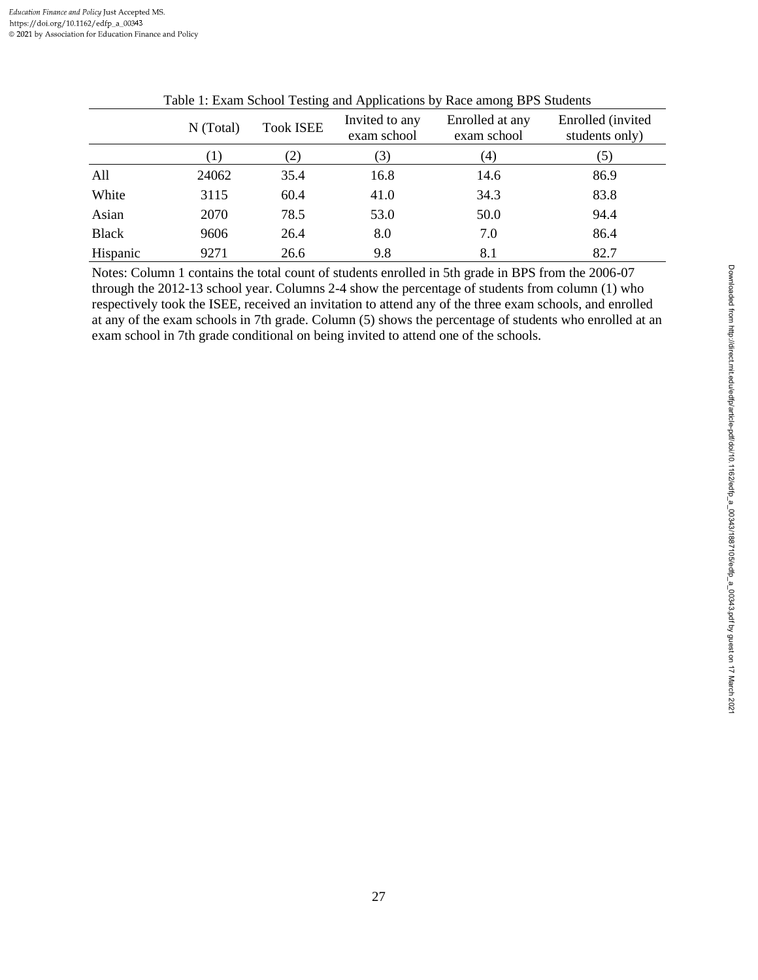|              |                   | ັ                 | . .                           | ັ                              |                                     |
|--------------|-------------------|-------------------|-------------------------------|--------------------------------|-------------------------------------|
|              | N (Total)         | <b>Took ISEE</b>  | Invited to any<br>exam school | Enrolled at any<br>exam school | Enrolled (invited<br>students only) |
|              | $\lfloor \rfloor$ | $\left( 2\right)$ | 3)                            | (4)                            | (5)                                 |
| All          | 24062             | 35.4              | 16.8                          | 14.6                           | 86.9                                |
| White        | 3115              | 60.4              | 41.0                          | 34.3                           | 83.8                                |
| Asian        | 2070              | 78.5              | 53.0                          | 50.0                           | 94.4                                |
| <b>Black</b> | 9606              | 26.4              | 8.0                           | 7.0                            | 86.4                                |
| Hispanic     | 9271              | 26.6              | 9.8                           | 8.1                            | 82.7                                |

|  | Table 1: Exam School Testing and Applications by Race among BPS Students |
|--|--------------------------------------------------------------------------|
|  |                                                                          |

Notes: Column 1 contains the total count of students enrolled in 5th grade in BPS from the 2006-07 through the 2012-13 school year. Columns 2-4 show the percentage of students from column (1) who respectively took the ISEE, received an invitation to attend any of the three exam schools, and enrolled at any of the exam schools in 7th grade. Column (5) shows the percentage of students who enrolled at an exam school in 7th grade conditional on being invited to attend one of the schools.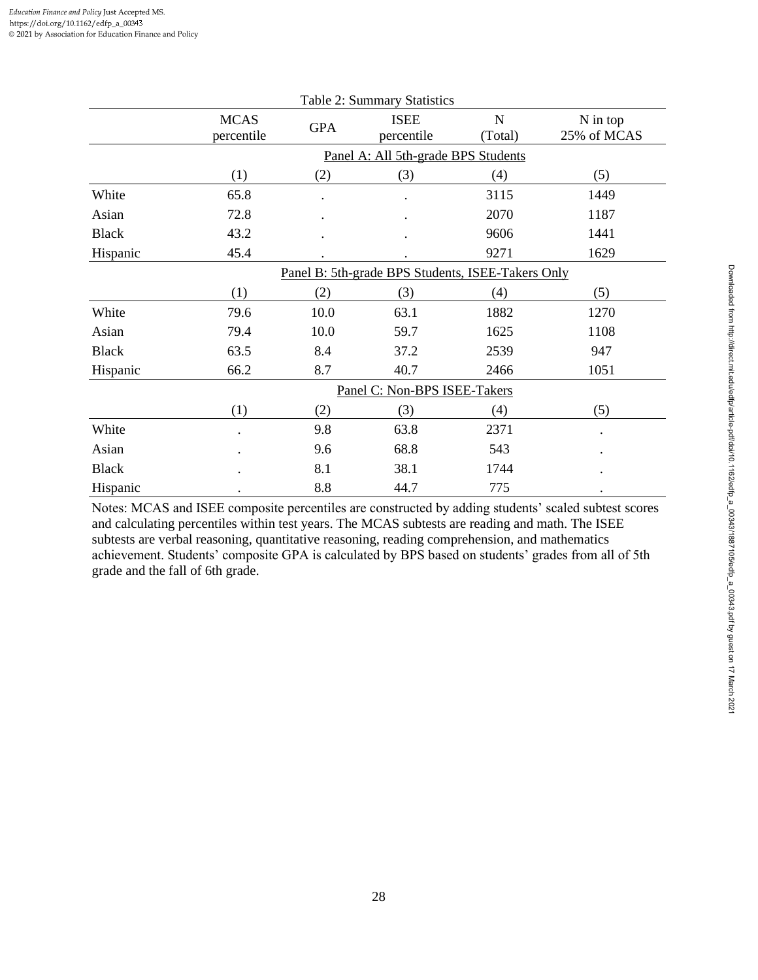| Table 2: Summary Statistics |                                                   |            |                                     |                        |                         |  |
|-----------------------------|---------------------------------------------------|------------|-------------------------------------|------------------------|-------------------------|--|
|                             | <b>MCAS</b><br>percentile                         | <b>GPA</b> | <b>ISEE</b><br>percentile           | $\mathbf N$<br>(Total) | N in top<br>25% of MCAS |  |
|                             |                                                   |            | Panel A: All 5th-grade BPS Students |                        |                         |  |
|                             | (1)                                               | (2)        | (3)                                 | (4)                    | (5)                     |  |
| White                       | 65.8                                              |            |                                     | 3115                   | 1449                    |  |
| Asian                       | 72.8                                              |            |                                     | 2070                   | 1187                    |  |
| <b>Black</b>                | 43.2                                              |            |                                     | 9606                   | 1441                    |  |
| Hispanic                    | 45.4                                              |            |                                     | 9271                   | 1629                    |  |
|                             | Panel B: 5th-grade BPS Students, ISEE-Takers Only |            |                                     |                        |                         |  |
|                             | (1)                                               | (2)        | (3)                                 | (4)                    | (5)                     |  |
| White                       | 79.6                                              | 10.0       | 63.1                                | 1882                   | 1270                    |  |
| Asian                       | 79.4                                              | 10.0       | 59.7                                | 1625                   | 1108                    |  |
| <b>Black</b>                | 63.5                                              | 8.4        | 37.2                                | 2539                   | 947                     |  |
| Hispanic                    | 66.2                                              | 8.7        | 40.7                                | 2466                   | 1051                    |  |
|                             |                                                   |            | Panel C: Non-BPS ISEE-Takers        |                        |                         |  |
|                             | (1)                                               | (2)        | (3)                                 | (4)                    | (5)                     |  |
| White                       |                                                   | 9.8        | 63.8                                | 2371                   | $\ddot{\phantom{a}}$    |  |
| Asian                       |                                                   | 9.6        | 68.8                                | 543                    |                         |  |
| <b>Black</b>                |                                                   | 8.1        | 38.1                                | 1744                   |                         |  |
| Hispanic                    |                                                   | 8.8        | 44.7                                | 775                    | $\bullet$               |  |

Notes: MCAS and ISEE composite percentiles are constructed by adding students' scaled subtest scores and calculating percentiles within test years. The MCAS subtests are reading and math. The ISEE subtests are verbal reasoning, quantitative reasoning, reading comprehension, and mathematics achievement. Students' composite GPA is calculated by BPS based on students' grades from all of 5th grade and the fall of 6th grade.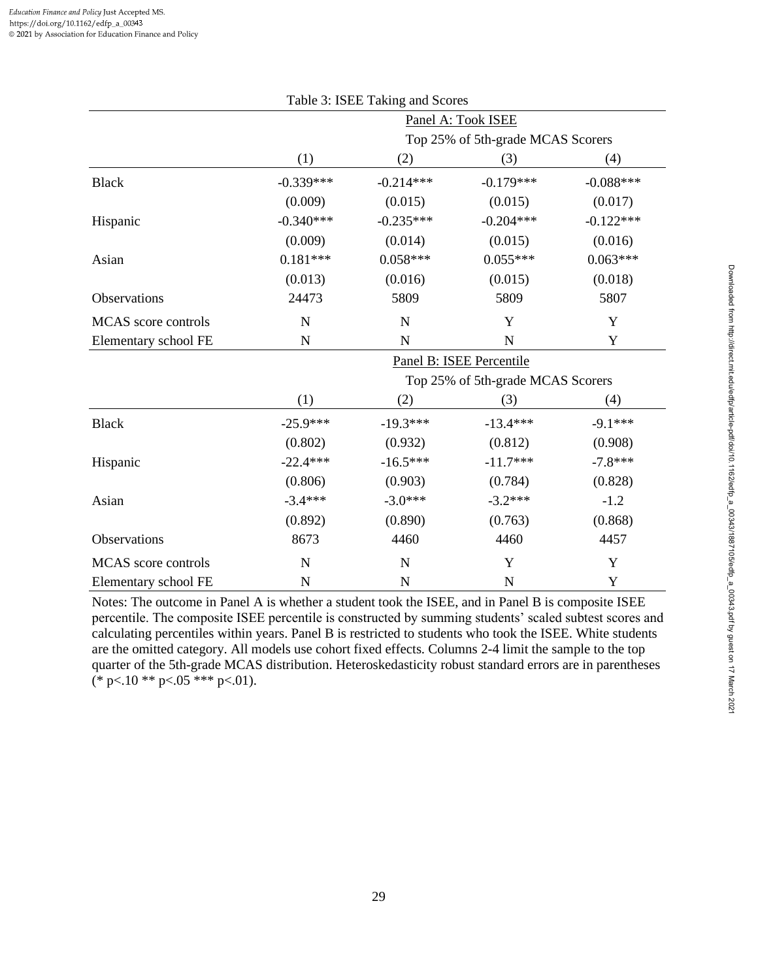|                      |                                   | Table 3: ISEE Taking and Scores |                                   |             |  |  |  |
|----------------------|-----------------------------------|---------------------------------|-----------------------------------|-------------|--|--|--|
|                      |                                   |                                 | Panel A: Took ISEE                |             |  |  |  |
|                      | Top 25% of 5th-grade MCAS Scorers |                                 |                                   |             |  |  |  |
|                      | (1)                               | (2)                             | (3)                               | (4)         |  |  |  |
| <b>Black</b>         | $-0.339***$                       | $-0.214***$                     | $-0.179***$                       | $-0.088***$ |  |  |  |
|                      | (0.009)                           | (0.015)                         | (0.015)                           | (0.017)     |  |  |  |
| Hispanic             | $-0.340***$                       | $-0.235***$                     | $-0.204***$                       | $-0.122***$ |  |  |  |
|                      | (0.009)                           | (0.014)                         | (0.015)                           | (0.016)     |  |  |  |
| Asian                | $0.181***$                        | $0.058***$                      | $0.055***$                        | $0.063***$  |  |  |  |
|                      | (0.013)                           | (0.016)                         | (0.015)                           | (0.018)     |  |  |  |
| Observations         | 24473                             | 5809                            | 5809                              | 5807        |  |  |  |
| MCAS score controls  | N                                 | $\mathbf N$                     | Y                                 | Y           |  |  |  |
| Elementary school FE | N                                 | N                               | N                                 | Y           |  |  |  |
|                      | Panel B: ISEE Percentile          |                                 |                                   |             |  |  |  |
|                      |                                   |                                 | Top 25% of 5th-grade MCAS Scorers |             |  |  |  |
|                      | (1)                               | (2)                             | (3)                               | (4)         |  |  |  |
| <b>Black</b>         | $-25.9***$                        | $-19.3***$                      | $-13.4***$                        | $-9.1***$   |  |  |  |
|                      | (0.802)                           | (0.932)                         | (0.812)                           | (0.908)     |  |  |  |
| Hispanic             | $-22.4***$                        | $-16.5***$                      | $-11.7***$                        | $-7.8***$   |  |  |  |
|                      | (0.806)                           | (0.903)                         | (0.784)                           | (0.828)     |  |  |  |
| Asian                | $-3.4***$                         | $-3.0***$                       | $-3.2***$                         | $-1.2$      |  |  |  |
|                      | (0.892)                           | (0.890)                         | (0.763)                           | (0.868)     |  |  |  |
| Observations         | 8673                              | 4460                            | 4460                              | 4457        |  |  |  |
| MCAS score controls  | N                                 | N                               | Y                                 | Y           |  |  |  |
| Elementary school FE | N                                 | $\mathbf N$                     | $\mathbf N$                       | Y           |  |  |  |

Notes: The outcome in Panel A is whether a student took the ISEE, and in Panel B is composite ISEE percentile. The composite ISEE percentile is constructed by summing students' scaled subtest scores and calculating percentiles within years. Panel B is restricted to students who took the ISEE. White students are the omitted category. All models use cohort fixed effects. Columns 2-4 limit the sample to the top quarter of the 5th-grade MCAS distribution. Heteroskedasticity robust standard errors are in parentheses (\* p $< 10$  \*\* p $< 05$  \*\*\* p $< 01$ ).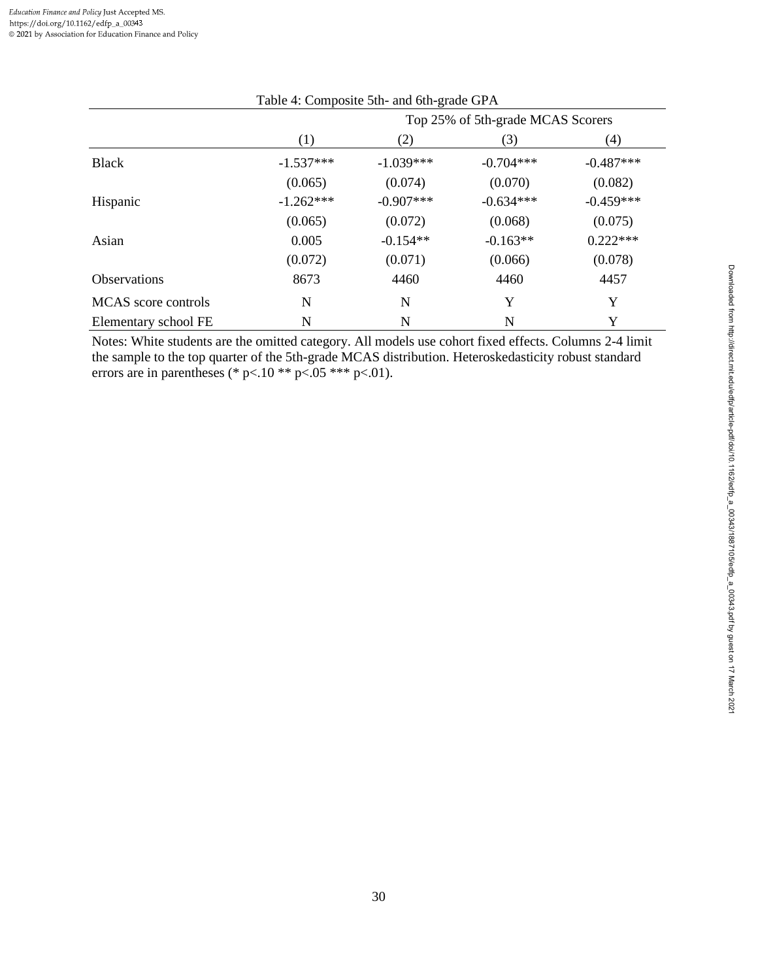| Table 4: Composite 5th- and 6th-grade GPA |                                   |             |             |             |  |  |  |
|-------------------------------------------|-----------------------------------|-------------|-------------|-------------|--|--|--|
|                                           | Top 25% of 5th-grade MCAS Scorers |             |             |             |  |  |  |
|                                           | (1)                               | (2)         | (3)         | (4)         |  |  |  |
| <b>Black</b>                              | $-1.537***$                       | $-1.039***$ | $-0.704***$ | $-0.487***$ |  |  |  |
|                                           | (0.065)                           | (0.074)     | (0.070)     | (0.082)     |  |  |  |
| Hispanic                                  | $-1.262***$                       | $-0.907***$ | $-0.634***$ | $-0.459***$ |  |  |  |
|                                           | (0.065)                           | (0.072)     | (0.068)     | (0.075)     |  |  |  |
| Asian                                     | 0.005                             | $-0.154**$  | $-0.163**$  | $0.222***$  |  |  |  |
|                                           | (0.072)                           | (0.071)     | (0.066)     | (0.078)     |  |  |  |
| <b>Observations</b>                       | 8673                              | 4460        | 4460        | 4457        |  |  |  |
| MCAS score controls                       | N                                 | N           | Y           | Y           |  |  |  |
| Elementary school FE                      | N                                 | N           | N           | Y           |  |  |  |

Notes: White students are the omitted category. All models use cohort fixed effects. Columns 2-4 limit the sample to the top quarter of the 5th-grade MCAS distribution. Heteroskedasticity robust standard errors are in parentheses (\* p<.10 \*\* p<.05 \*\*\* p<.01).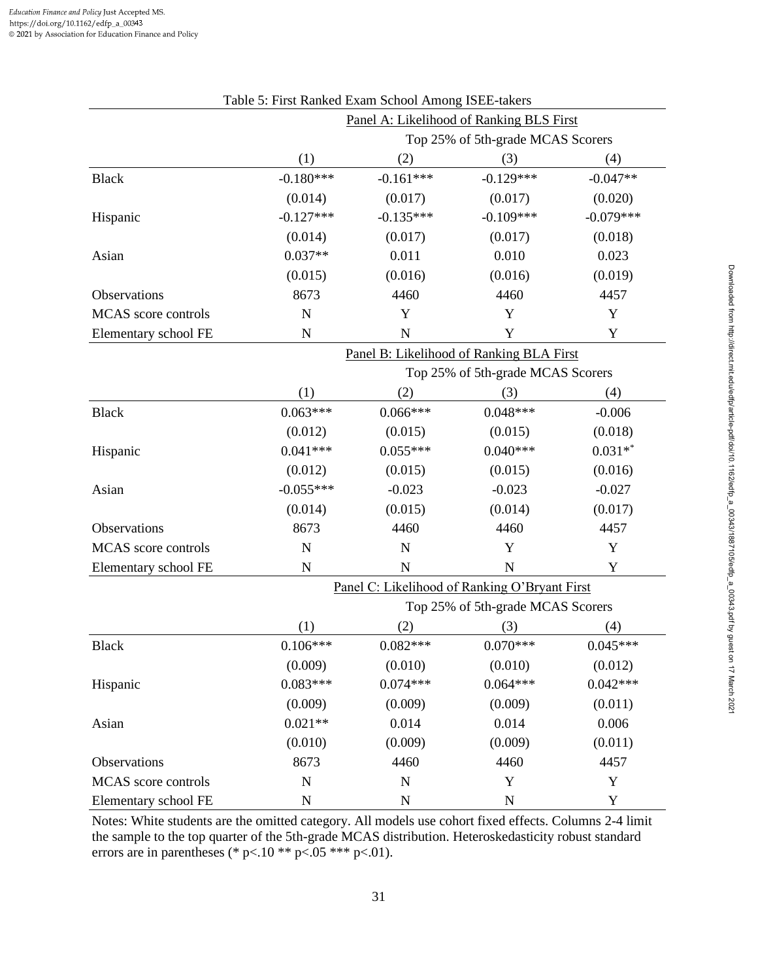| Table 5: First Ranked Exam School Among ISEE-takers |                                          |                                   |                                               |             |  |  |
|-----------------------------------------------------|------------------------------------------|-----------------------------------|-----------------------------------------------|-------------|--|--|
|                                                     | Panel A: Likelihood of Ranking BLS First |                                   |                                               |             |  |  |
|                                                     |                                          |                                   | Top 25% of 5th-grade MCAS Scorers             |             |  |  |
|                                                     | (1)                                      | (3)                               | (4)                                           |             |  |  |
| <b>Black</b>                                        | $-0.180***$                              | $-0.161***$                       | $-0.129***$                                   | $-0.047**$  |  |  |
|                                                     | (0.014)                                  | (0.017)                           | (0.017)                                       | (0.020)     |  |  |
| Hispanic                                            | $-0.127***$                              | $-0.135***$                       | $-0.109***$                                   | $-0.079***$ |  |  |
|                                                     | (0.014)                                  | (0.017)                           | (0.017)                                       | (0.018)     |  |  |
| Asian                                               | $0.037**$                                | 0.011                             | 0.010                                         | 0.023       |  |  |
|                                                     | (0.015)                                  | (0.016)                           | (0.016)                                       | (0.019)     |  |  |
| Observations                                        | 8673                                     | 4460                              | 4460                                          | 4457        |  |  |
| MCAS score controls                                 | $\mathbf N$                              | Y                                 | Y                                             | Y           |  |  |
| Elementary school FE                                | N                                        | $\mathbf N$                       | Y                                             | Y           |  |  |
|                                                     |                                          |                                   | Panel B: Likelihood of Ranking BLA First      |             |  |  |
|                                                     |                                          | Top 25% of 5th-grade MCAS Scorers |                                               |             |  |  |
|                                                     | (1)                                      | (2)                               | (3)                                           | (4)         |  |  |
| <b>Black</b>                                        | $0.063***$                               | $0.066***$                        | $0.048***$                                    | $-0.006$    |  |  |
|                                                     | (0.012)                                  | (0.015)                           | (0.015)                                       | (0.018)     |  |  |
| Hispanic                                            | $0.041***$                               | $0.055***$                        | $0.040***$                                    | $0.031**$   |  |  |
|                                                     | (0.012)                                  | (0.015)                           | (0.015)                                       | (0.016)     |  |  |
| Asian                                               | $-0.055***$                              | $-0.023$                          | $-0.023$                                      | $-0.027$    |  |  |
|                                                     | (0.014)                                  | (0.015)                           | (0.014)                                       | (0.017)     |  |  |
| Observations                                        | 8673                                     | 4460                              | 4460                                          | 4457        |  |  |
| MCAS score controls                                 | $\mathbf N$                              | N                                 | Y                                             | Y           |  |  |
| Elementary school FE                                | $\mathbf N$                              | $\mathbf N$                       | $\mathbf N$                                   | Y           |  |  |
|                                                     |                                          |                                   | Panel C: Likelihood of Ranking O'Bryant First |             |  |  |
|                                                     |                                          |                                   | Top 25% of 5th-grade MCAS Scorers             |             |  |  |
|                                                     | (1)                                      | (2)                               | (3)                                           | (4)         |  |  |
| <b>Black</b>                                        | $0.106***$                               | $0.082***$                        | $0.070***$                                    | $0.045***$  |  |  |
|                                                     | (0.009)                                  | (0.010)                           | (0.010)                                       | (0.012)     |  |  |
| Hispanic                                            | $0.083***$                               | $0.074***$                        | $0.064***$                                    | $0.042***$  |  |  |
|                                                     | (0.009)                                  | (0.009)                           | (0.009)                                       | (0.011)     |  |  |
| Asian                                               | $0.021**$                                | 0.014                             | 0.014                                         | 0.006       |  |  |
|                                                     | (0.010)                                  | (0.009)                           | (0.009)                                       | (0.011)     |  |  |
| Observations                                        | 8673                                     | 4460                              | 4460                                          | 4457        |  |  |
| MCAS score controls                                 | ${\bf N}$                                | $\mathbf N$                       | Y                                             | Y           |  |  |
| Elementary school FE                                | N                                        | $\mathbf N$                       | ${\bf N}$                                     | Y           |  |  |

Notes: White students are the omitted category. All models use cohort fixed effects. Columns 2-4 limit the sample to the top quarter of the 5th-grade MCAS distribution. Heteroskedasticity robust standard errors are in parentheses (\* p<.10 \*\* p<.05 \*\*\* p<.01).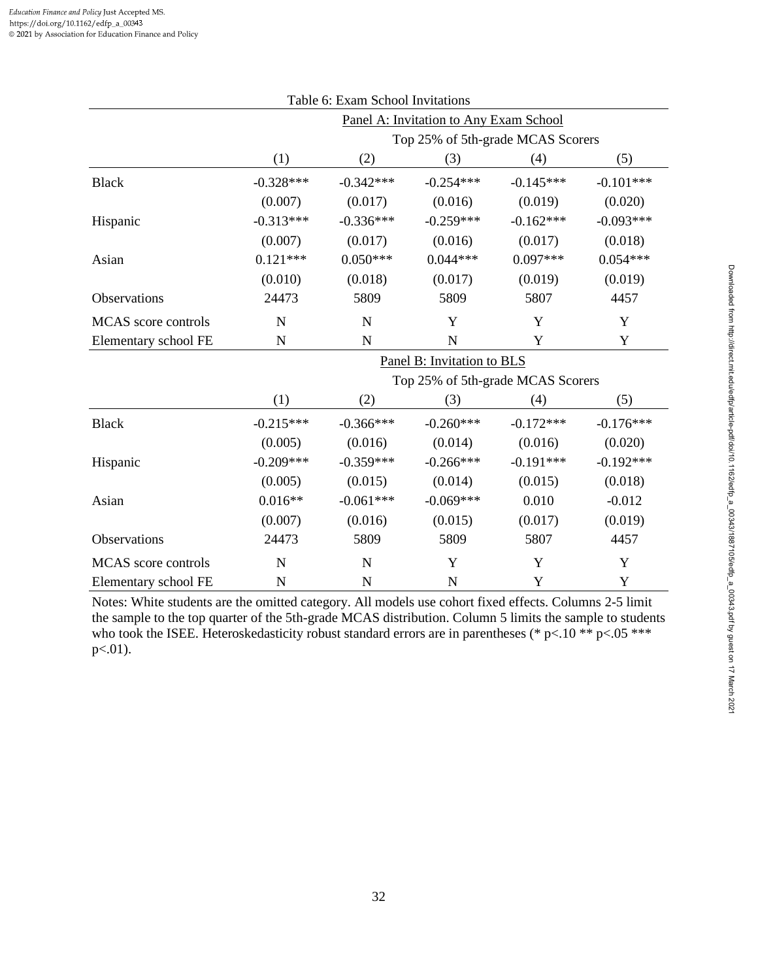|                      |             | Table 6: Exam School Invitations  |                                        |             |             |  |  |
|----------------------|-------------|-----------------------------------|----------------------------------------|-------------|-------------|--|--|
|                      |             |                                   | Panel A: Invitation to Any Exam School |             |             |  |  |
|                      |             | Top 25% of 5th-grade MCAS Scorers |                                        |             |             |  |  |
|                      | (1)         | (2)                               | (3)                                    | (4)         | (5)         |  |  |
| <b>Black</b>         | $-0.328***$ | $-0.342***$                       | $-0.254***$                            | $-0.145***$ | $-0.101***$ |  |  |
|                      | (0.007)     | (0.017)                           | (0.016)                                | (0.019)     | (0.020)     |  |  |
| Hispanic             | $-0.313***$ | $-0.336***$                       | $-0.259***$                            | $-0.162***$ | $-0.093***$ |  |  |
|                      | (0.007)     | (0.017)                           | (0.016)                                | (0.017)     | (0.018)     |  |  |
| Asian                | $0.121***$  | $0.050***$                        | $0.044***$                             | $0.097***$  | $0.054***$  |  |  |
|                      | (0.010)     | (0.018)                           | (0.017)                                | (0.019)     | (0.019)     |  |  |
| Observations         | 24473       | 5809                              | 5809                                   | 5807        | 4457        |  |  |
| MCAS score controls  | N           | N                                 | Y                                      | Y           | $\mathbf Y$ |  |  |
| Elementary school FE | $\mathbf N$ | $\mathbf N$                       | $\mathbf N$                            | Y           | Y           |  |  |
|                      |             |                                   | Panel B: Invitation to BLS             |             |             |  |  |
|                      |             |                                   | Top 25% of 5th-grade MCAS Scorers      |             |             |  |  |
|                      | (1)         | (2)                               | (3)                                    | (4)         | (5)         |  |  |
| <b>Black</b>         | $-0.215***$ | $-0.366***$                       | $-0.260***$                            | $-0.172***$ | $-0.176***$ |  |  |
|                      | (0.005)     | (0.016)                           | (0.014)                                | (0.016)     | (0.020)     |  |  |
| Hispanic             | $-0.209***$ | $-0.359***$                       | $-0.266***$                            | $-0.191***$ | $-0.192***$ |  |  |
|                      | (0.005)     | (0.015)                           | (0.014)                                | (0.015)     | (0.018)     |  |  |
| Asian                | $0.016**$   | $-0.061***$                       | $-0.069***$                            | 0.010       | $-0.012$    |  |  |
|                      | (0.007)     | (0.016)                           | (0.015)                                | (0.017)     | (0.019)     |  |  |
| Observations         | 24473       | 5809                              | 5809                                   | 5807        | 4457        |  |  |
| MCAS score controls  | N           | $\mathbf N$                       | Y                                      | Y           | Y           |  |  |
| Elementary school FE | $\mathbf N$ | $\mathbf N$                       | $\mathbf N$                            | Y           | Y           |  |  |

Notes: White students are the omitted category. All models use cohort fixed effects. Columns 2-5 limit the sample to the top quarter of the 5th-grade MCAS distribution. Column 5 limits the sample to students who took the ISEE. Heteroskedasticity robust standard errors are in parentheses (\* p<.10 \*\* p<.05 \*\*\* p<.01).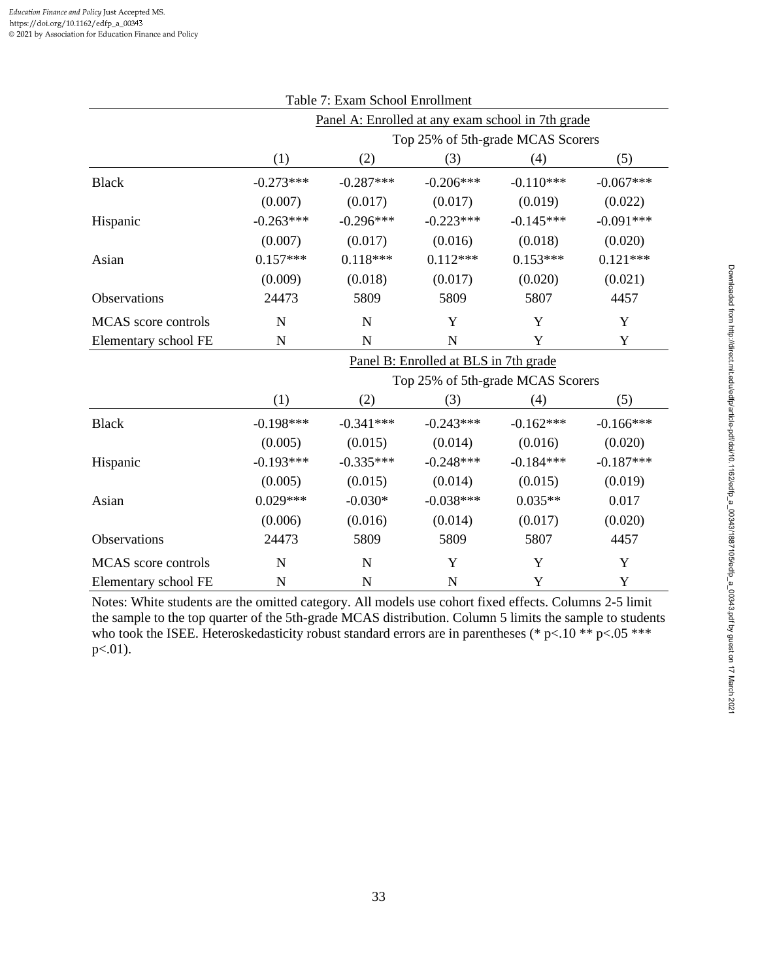| Table 7: Exam School Enrollment                   |             |                                   |                                       |             |             |  |  |
|---------------------------------------------------|-------------|-----------------------------------|---------------------------------------|-------------|-------------|--|--|
| Panel A: Enrolled at any exam school in 7th grade |             |                                   |                                       |             |             |  |  |
|                                                   |             | Top 25% of 5th-grade MCAS Scorers |                                       |             |             |  |  |
|                                                   | (1)         | (2)                               | (3)                                   | (4)         | (5)         |  |  |
| <b>Black</b>                                      | $-0.273***$ | $-0.287***$                       | $-0.206***$                           | $-0.110***$ | $-0.067***$ |  |  |
|                                                   | (0.007)     | (0.017)                           | (0.017)                               | (0.019)     | (0.022)     |  |  |
| Hispanic                                          | $-0.263***$ | $-0.296***$                       | $-0.223***$                           | $-0.145***$ | $-0.091***$ |  |  |
|                                                   | (0.007)     | (0.017)                           | (0.016)                               | (0.018)     | (0.020)     |  |  |
| Asian                                             | $0.157***$  | $0.118***$                        | $0.112***$                            | $0.153***$  | $0.121***$  |  |  |
|                                                   | (0.009)     | (0.018)                           | (0.017)                               | (0.020)     | (0.021)     |  |  |
| Observations                                      | 24473       | 5809                              | 5809                                  | 5807        | 4457        |  |  |
| MCAS score controls                               | N           | N                                 | Y                                     | Y           | Y           |  |  |
| Elementary school FE                              | $\mathbf N$ | $\mathbf N$                       | ${\bf N}$                             | Y           | Y           |  |  |
|                                                   |             |                                   | Panel B: Enrolled at BLS in 7th grade |             |             |  |  |
|                                                   |             |                                   | Top 25% of 5th-grade MCAS Scorers     |             |             |  |  |
|                                                   | (1)         | (2)                               | (3)                                   | (4)         | (5)         |  |  |
| <b>Black</b>                                      | $-0.198***$ | $-0.341***$                       | $-0.243***$                           | $-0.162***$ | $-0.166***$ |  |  |
|                                                   | (0.005)     | (0.015)                           | (0.014)                               | (0.016)     | (0.020)     |  |  |
| Hispanic                                          | $-0.193***$ | $-0.335***$                       | $-0.248***$                           | $-0.184***$ | $-0.187***$ |  |  |
|                                                   | (0.005)     | (0.015)                           | (0.014)                               | (0.015)     | (0.019)     |  |  |
| Asian                                             | $0.029***$  | $-0.030*$                         | $-0.038***$                           | $0.035**$   | 0.017       |  |  |
|                                                   | (0.006)     | (0.016)                           | (0.014)                               | (0.017)     | (0.020)     |  |  |
| Observations                                      | 24473       | 5809                              | 5809                                  | 5807        | 4457        |  |  |
| MCAS score controls                               | N           | $\mathbf N$                       | Y                                     | Y           | Y           |  |  |
| Elementary school FE                              | $\mathbf N$ | $\mathbf N$                       | $\mathbf N$                           | Y           | Y           |  |  |

Notes: White students are the omitted category. All models use cohort fixed effects. Columns 2-5 limit the sample to the top quarter of the 5th-grade MCAS distribution. Column 5 limits the sample to students who took the ISEE. Heteroskedasticity robust standard errors are in parentheses (\* p<.10 \*\* p<.05 \*\*\* p<.01).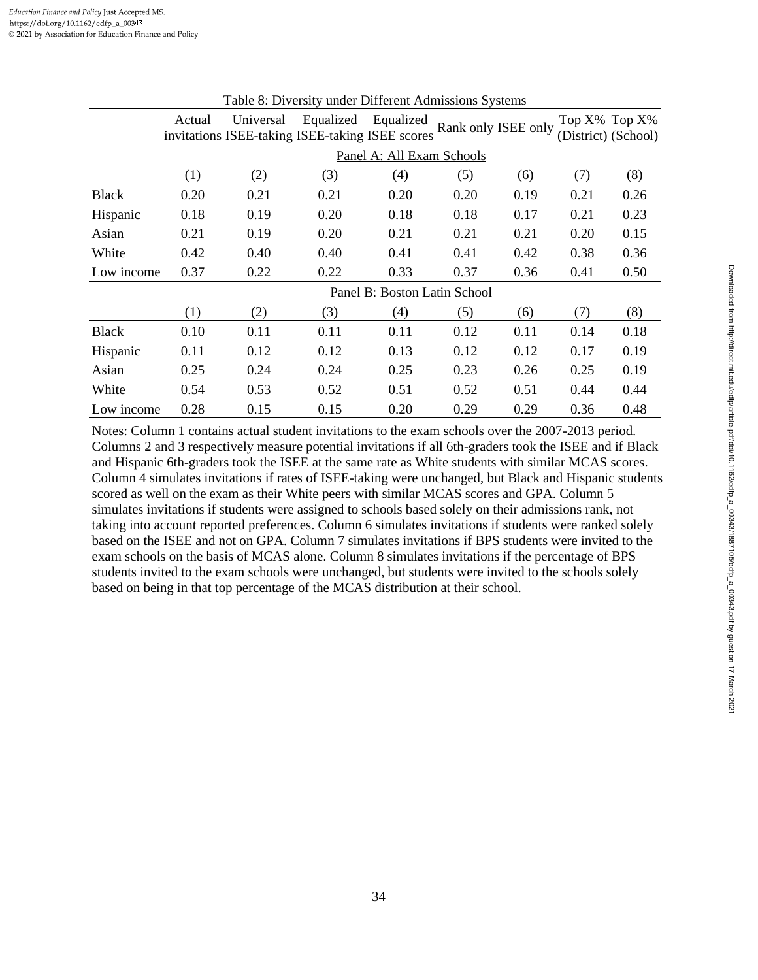|              | Actual | Universal<br>invitations ISEE-taking ISEE-taking ISEE scores |      | Equalized Equalized Rank only ISEE only |      |      |      | Top $X\%$ Top $X\%$<br>(District) (School) |
|--------------|--------|--------------------------------------------------------------|------|-----------------------------------------|------|------|------|--------------------------------------------|
|              |        |                                                              |      | Panel A: All Exam Schools               |      |      |      |                                            |
|              | (1)    | (2)                                                          | (3)  | (4)                                     | (5)  | (6)  | (7)  | (8)                                        |
| <b>Black</b> | 0.20   | 0.21                                                         | 0.21 | 0.20                                    | 0.20 | 0.19 | 0.21 | 0.26                                       |
| Hispanic     | 0.18   | 0.19                                                         | 0.20 | 0.18                                    | 0.18 | 0.17 | 0.21 | 0.23                                       |
| Asian        | 0.21   | 0.19                                                         | 0.20 | 0.21                                    | 0.21 | 0.21 | 0.20 | 0.15                                       |
| White        | 0.42   | 0.40                                                         | 0.40 | 0.41                                    | 0.41 | 0.42 | 0.38 | 0.36                                       |
| Low income   | 0.37   | 0.22                                                         | 0.22 | 0.33                                    | 0.37 | 0.36 | 0.41 | 0.50                                       |
|              |        |                                                              |      | Panel B: Boston Latin School            |      |      |      |                                            |
|              | (1)    | (2)                                                          | (3)  | (4)                                     | (5)  | (6)  | (7)  | (8)                                        |
| <b>Black</b> | 0.10   | 0.11                                                         | 0.11 | 0.11                                    | 0.12 | 0.11 | 0.14 | 0.18                                       |
| Hispanic     | 0.11   | 0.12                                                         | 0.12 | 0.13                                    | 0.12 | 0.12 | 0.17 | 0.19                                       |
| Asian        | 0.25   | 0.24                                                         | 0.24 | 0.25                                    | 0.23 | 0.26 | 0.25 | 0.19                                       |
| White        | 0.54   | 0.53                                                         | 0.52 | 0.51                                    | 0.52 | 0.51 | 0.44 | 0.44                                       |
| Low income   | 0.28   | 0.15                                                         | 0.15 | 0.20                                    | 0.29 | 0.29 | 0.36 | 0.48                                       |

Table 8: Diversity under Different Admissions Systems

Notes: Column 1 contains actual student invitations to the exam schools over the 2007-2013 period. Columns 2 and 3 respectively measure potential invitations if all 6th-graders took the ISEE and if Black and Hispanic 6th-graders took the ISEE at the same rate as White students with similar MCAS scores. Column 4 simulates invitations if rates of ISEE-taking were unchanged, but Black and Hispanic students scored as well on the exam as their White peers with similar MCAS scores and GPA. Column 5 simulates invitations if students were assigned to schools based solely on their admissions rank, not taking into account reported preferences. Column 6 simulates invitations if students were ranked solely based on the ISEE and not on GPA. Column 7 simulates invitations if BPS students were invited to the exam schools on the basis of MCAS alone. Column 8 simulates invitations if the percentage of BPS students invited to the exam schools were unchanged, but students were invited to the schools solely based on being in that top percentage of the MCAS distribution at their school.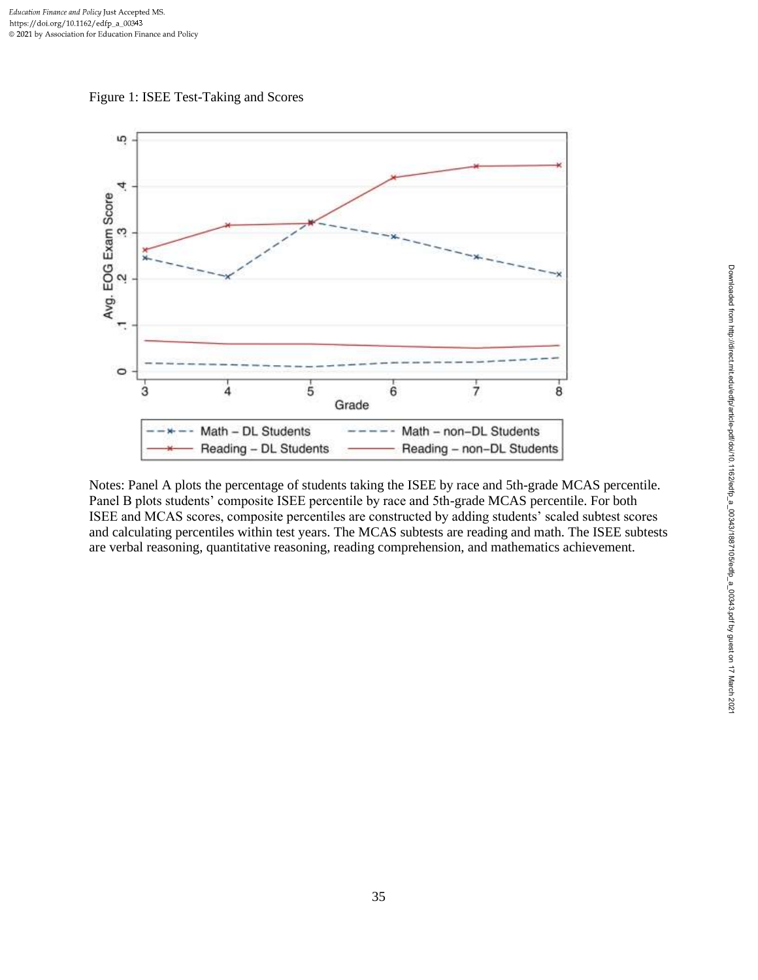



Notes: Panel A plots the percentage of students taking the ISEE by race and 5th-grade MCAS percentile. Panel B plots students' composite ISEE percentile by race and 5th-grade MCAS percentile. For both ISEE and MCAS scores, composite percentiles are constructed by adding students' scaled subtest scores and calculating percentiles within test years. The MCAS subtests are reading and math. The ISEE subtests are verbal reasoning, quantitative reasoning, reading comprehension, and mathematics achievement.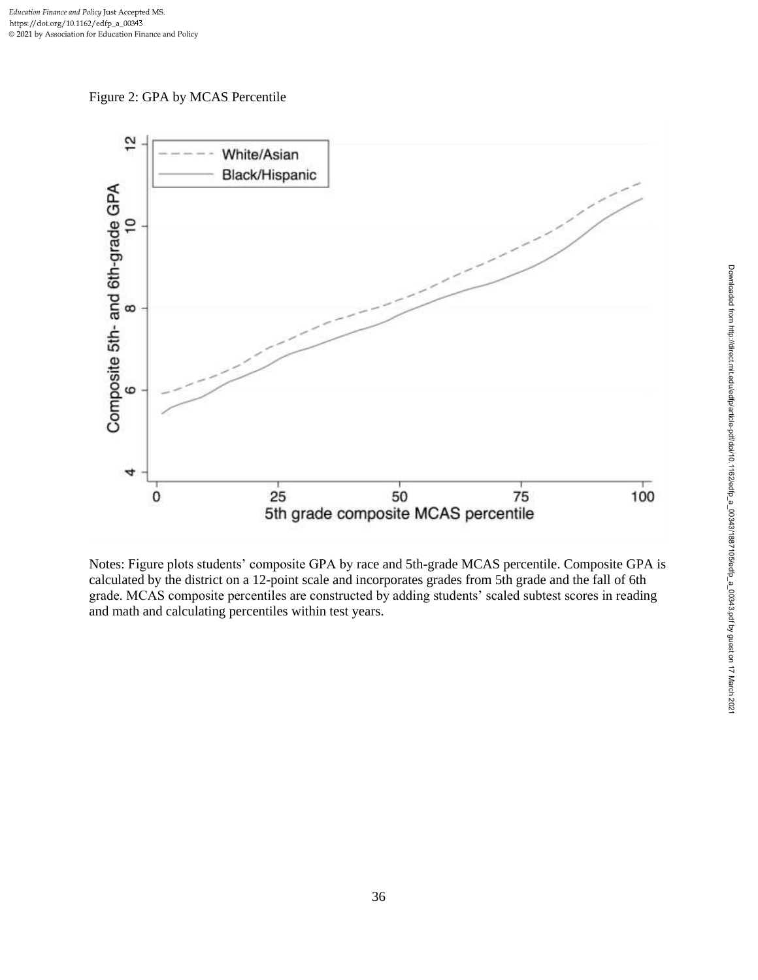Figure 2: GPA by MCAS Percentile



Notes: Figure plots students' composite GPA by race and 5th-grade MCAS percentile. Composite GPA is calculated by the district on a 12-point scale and incorporates grades from 5th grade and the fall of 6th grade. MCAS composite percentiles are constructed by adding students' scaled subtest scores in reading and math and calculating percentiles within test years.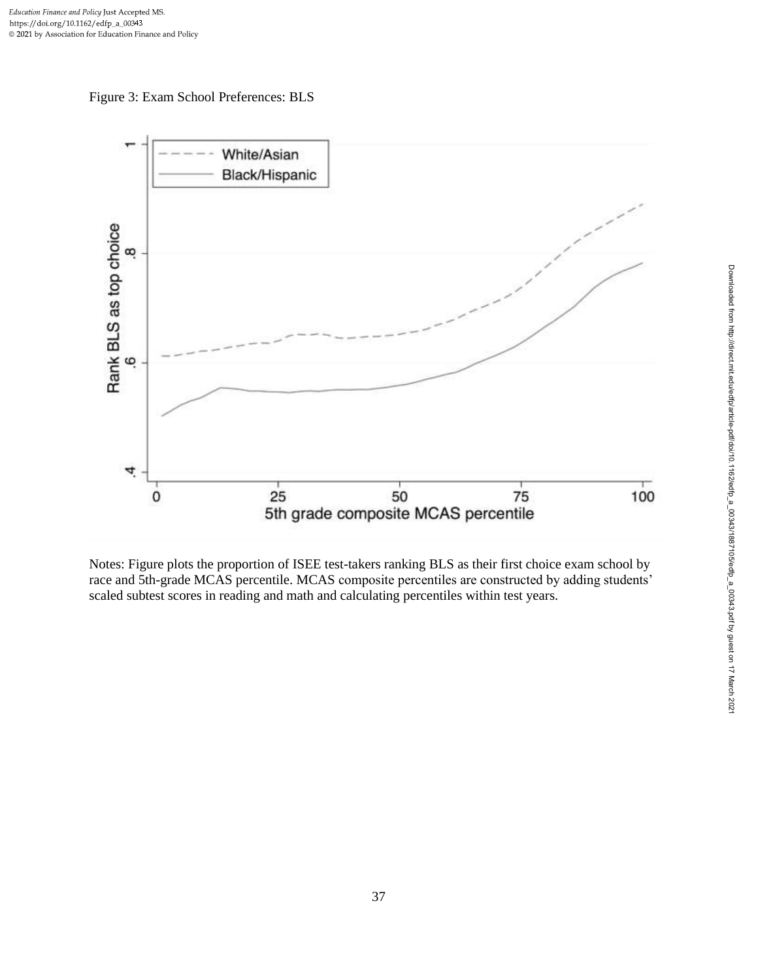



Notes: Figure plots the proportion of ISEE test-takers ranking BLS as their first choice exam school by race and 5th-grade MCAS percentile. MCAS composite percentiles are constructed by adding students' scaled subtest scores in reading and math and calculating percentiles within test years.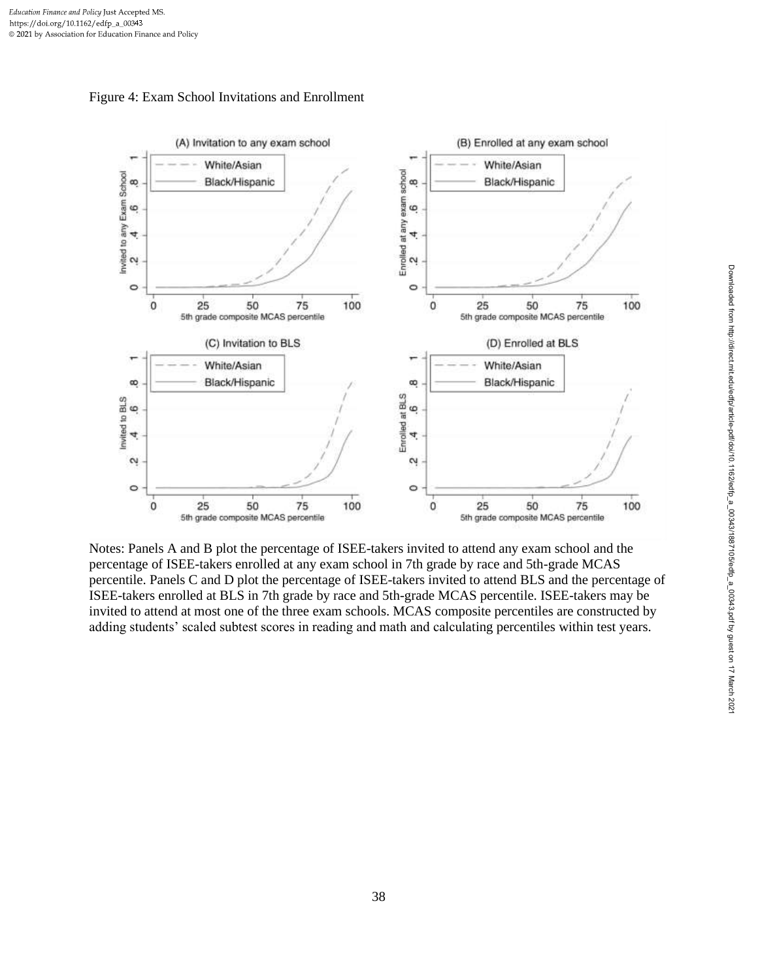



Notes: Panels A and B plot the percentage of ISEE-takers invited to attend any exam school and the percentage of ISEE-takers enrolled at any exam school in 7th grade by race and 5th-grade MCAS percentile. Panels C and D plot the percentage of ISEE-takers invited to attend BLS and the percentage of ISEE-takers enrolled at BLS in 7th grade by race and 5th-grade MCAS percentile. ISEE-takers may be invited to attend at most one of the three exam schools. MCAS composite percentiles are constructed by adding students' scaled subtest scores in reading and math and calculating percentiles within test years.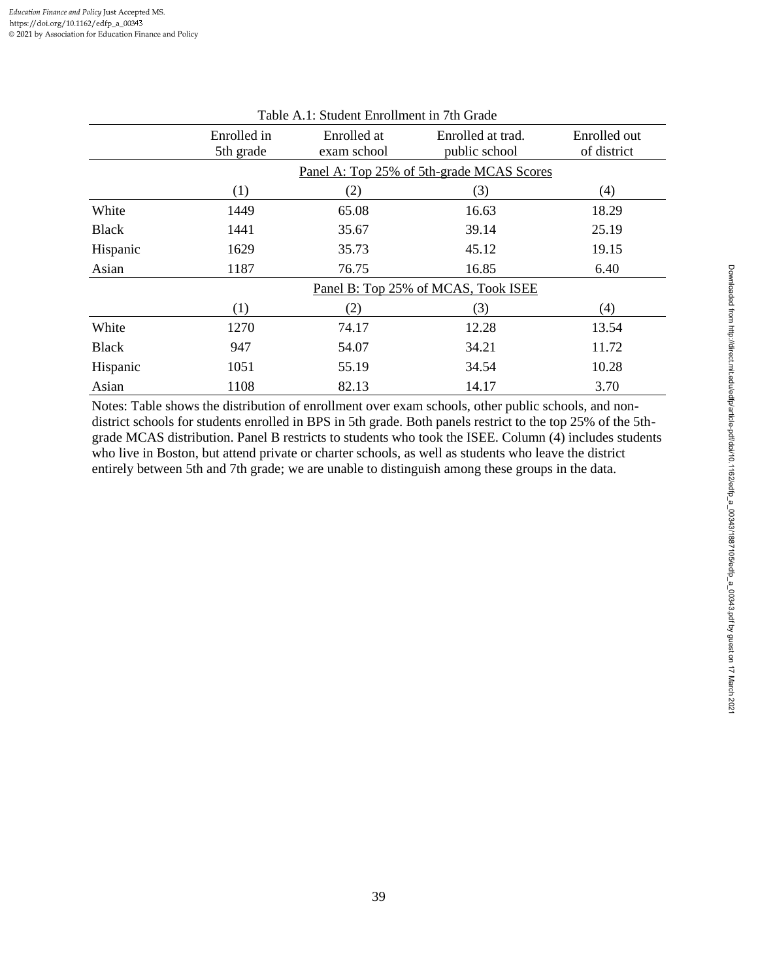| Table A.1: Student Enrollment in 7th Grade |                                           |                            |                                     |                             |  |  |  |  |
|--------------------------------------------|-------------------------------------------|----------------------------|-------------------------------------|-----------------------------|--|--|--|--|
|                                            | Enrolled in<br>5th grade                  | Enrolled at<br>exam school | Enrolled at trad.<br>public school  | Enrolled out<br>of district |  |  |  |  |
|                                            | Panel A: Top 25% of 5th-grade MCAS Scores |                            |                                     |                             |  |  |  |  |
|                                            | $\left(1\right)$                          | (2)                        | (3)                                 | (4)                         |  |  |  |  |
| White                                      | 1449                                      | 65.08                      | 16.63                               | 18.29                       |  |  |  |  |
| <b>Black</b>                               | 1441                                      | 35.67                      | 39.14                               | 25.19                       |  |  |  |  |
| Hispanic                                   | 1629                                      | 35.73                      | 45.12                               | 19.15                       |  |  |  |  |
| Asian                                      | 1187                                      | 76.75                      | 16.85                               | 6.40                        |  |  |  |  |
|                                            |                                           |                            | Panel B: Top 25% of MCAS, Took ISEE |                             |  |  |  |  |
|                                            | (1)                                       | (2)                        | (3)                                 | (4)                         |  |  |  |  |
| White                                      | 1270                                      | 74.17                      | 12.28                               | 13.54                       |  |  |  |  |
| <b>Black</b>                               | 947                                       | 54.07                      | 34.21                               | 11.72                       |  |  |  |  |
| Hispanic                                   | 1051                                      | 55.19                      | 34.54                               | 10.28                       |  |  |  |  |
| Asian                                      | 1108                                      | 82.13                      | 14.17                               | 3.70                        |  |  |  |  |

Notes: Table shows the distribution of enrollment over exam schools, other public schools, and nondistrict schools for students enrolled in BPS in 5th grade. Both panels restrict to the top 25% of the 5thgrade MCAS distribution. Panel B restricts to students who took the ISEE. Column (4) includes students who live in Boston, but attend private or charter schools, as well as students who leave the district entirely between 5th and 7th grade; we are unable to distinguish among these groups in the data.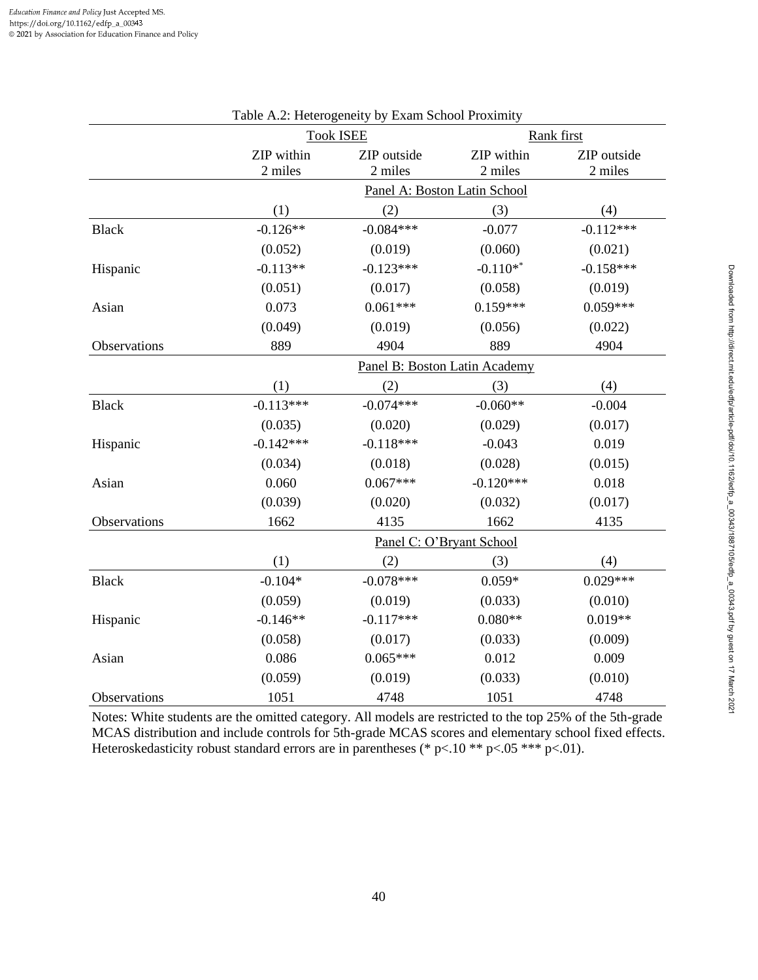|              |                       | rable A.2. Heterogeneity by Exam School Proximity |                               |                        |
|--------------|-----------------------|---------------------------------------------------|-------------------------------|------------------------|
|              |                       | <b>Took ISEE</b>                                  |                               | Rank first             |
|              | ZIP within<br>2 miles | ZIP outside<br>2 miles                            | ZIP within<br>2 miles         | ZIP outside<br>2 miles |
|              |                       |                                                   | Panel A: Boston Latin School  |                        |
|              | (1)                   | (2)                                               | (3)                           | (4)                    |
| <b>Black</b> | $-0.126**$            | $-0.084***$                                       | $-0.077$                      | $-0.112***$            |
|              | (0.052)               | (0.019)                                           | (0.060)                       | (0.021)                |
| Hispanic     | $-0.113**$            | $-0.123***$                                       | $-0.110**$                    | $-0.158***$            |
|              | (0.051)               | (0.017)                                           | (0.058)                       | (0.019)                |
| Asian        | 0.073                 | $0.061***$                                        | $0.159***$                    | $0.059***$             |
|              | (0.049)               | (0.019)                                           | (0.056)                       | (0.022)                |
| Observations | 889                   | 4904                                              | 889                           | 4904                   |
|              |                       |                                                   | Panel B: Boston Latin Academy |                        |
|              | (1)                   | (2)                                               | (3)                           | (4)                    |
| <b>Black</b> | $-0.113***$           | $-0.074***$                                       | $-0.060**$                    | $-0.004$               |
|              | (0.035)               | (0.020)                                           | (0.029)                       | (0.017)                |
| Hispanic     | $-0.142***$           | $-0.118***$                                       | $-0.043$                      | 0.019                  |
|              | (0.034)               | (0.018)                                           | (0.028)                       | (0.015)                |
| Asian        | 0.060                 | $0.067***$                                        | $-0.120***$                   | 0.018                  |
|              | (0.039)               | (0.020)                                           | (0.032)                       | (0.017)                |
| Observations | 1662                  | 4135                                              | 1662                          | 4135                   |
|              |                       |                                                   | Panel C: O'Bryant School      |                        |
|              | (1)                   | (2)                                               | (3)                           | (4)                    |
| <b>Black</b> | $-0.104*$             | $-0.078***$                                       | $0.059*$                      | $0.029***$             |
|              | (0.059)               | (0.019)                                           | (0.033)                       | (0.010)                |
| Hispanic     | $-0.146**$            | $-0.117***$                                       | $0.080**$                     | $0.019**$              |
|              | (0.058)               | (0.017)                                           | (0.033)                       | (0.009)                |
| Asian        | 0.086                 | $0.065***$                                        | 0.012                         | 0.009                  |
|              | (0.059)               | (0.019)                                           | (0.033)                       | (0.010)                |
| Observations | 1051                  | 4748                                              | 1051                          | 4748                   |

# Table A.2: Heterogeneity by Exam School Proximity

Notes: White students are the omitted category. All models are restricted to the top 25% of the 5th-grade MCAS distribution and include controls for 5th-grade MCAS scores and elementary school fixed effects. Heteroskedasticity robust standard errors are in parentheses (\* p<.10 \*\* p<.05 \*\*\* p<.01).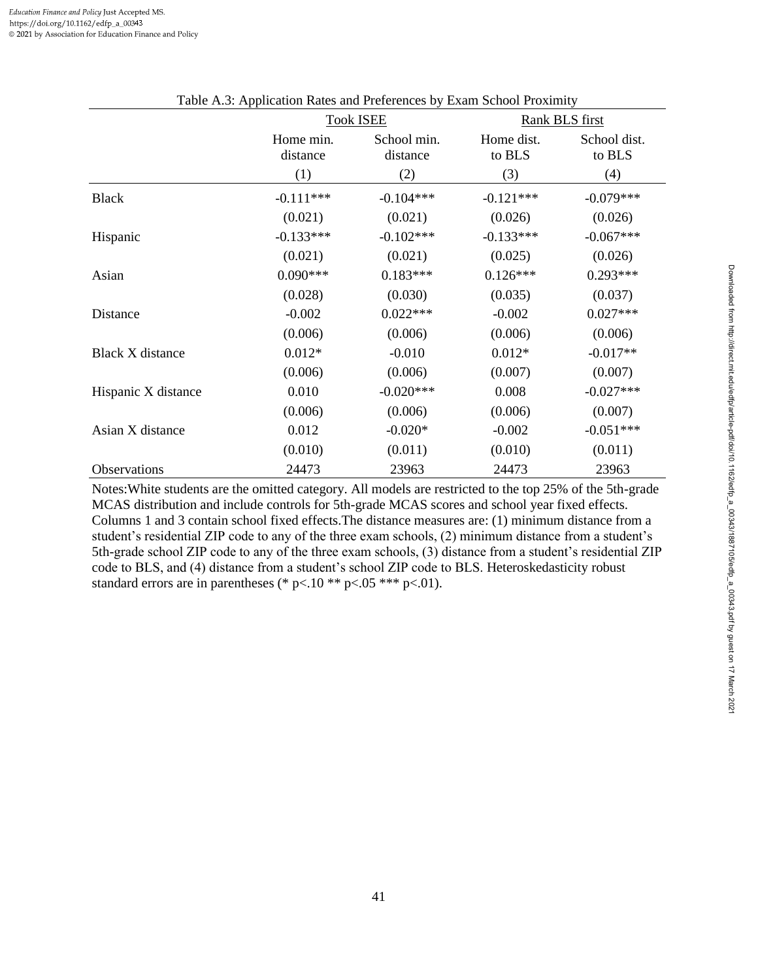|                         |                       | <b>Took ISEE</b>        |                      | Rank BLS first         |
|-------------------------|-----------------------|-------------------------|----------------------|------------------------|
|                         | Home min.<br>distance | School min.<br>distance | Home dist.<br>to BLS | School dist.<br>to BLS |
|                         | (1)                   | (2)                     | (3)                  | (4)                    |
| <b>Black</b>            | $-0.111***$           | $-0.104***$             | $-0.121***$          | $-0.079***$            |
|                         | (0.021)               | (0.021)                 | (0.026)              | (0.026)                |
| Hispanic                | $-0.133***$           | $-0.102***$             | $-0.133***$          | $-0.067***$            |
|                         | (0.021)               | (0.021)                 | (0.025)              | (0.026)                |
| Asian                   | $0.090***$            | $0.183***$              | $0.126***$           | $0.293***$             |
|                         | (0.028)               | (0.030)                 | (0.035)              | (0.037)                |
| Distance                | $-0.002$              | $0.022***$              | $-0.002$             | $0.027***$             |
|                         | (0.006)               | (0.006)                 | (0.006)              | (0.006)                |
| <b>Black X</b> distance | $0.012*$              | $-0.010$                | $0.012*$             | $-0.017**$             |
|                         | (0.006)               | (0.006)                 | (0.007)              | (0.007)                |
| Hispanic X distance     | 0.010                 | $-0.020***$             | 0.008                | $-0.027***$            |
|                         | (0.006)               | (0.006)                 | (0.006)              | (0.007)                |
| Asian X distance        | 0.012                 | $-0.020*$               | $-0.002$             | $-0.051***$            |
|                         | (0.010)               | (0.011)                 | (0.010)              | (0.011)                |
| Observations            | 24473                 | 23963                   | 24473                | 23963                  |

| Table A.3: Application Rates and Preferences by Exam School Proximity |  |  |
|-----------------------------------------------------------------------|--|--|
|                                                                       |  |  |

Notes:White students are the omitted category. All models are restricted to the top 25% of the 5th-grade MCAS distribution and include controls for 5th-grade MCAS scores and school year fixed effects. Columns 1 and 3 contain school fixed effects.The distance measures are: (1) minimum distance from a student's residential ZIP code to any of the three exam schools, (2) minimum distance from a student's 5th-grade school ZIP code to any of the three exam schools, (3) distance from a student's residential ZIP code to BLS, and (4) distance from a student's school ZIP code to BLS. Heteroskedasticity robust standard errors are in parentheses (\* p<.10 \*\* p<.05 \*\*\* p<.01).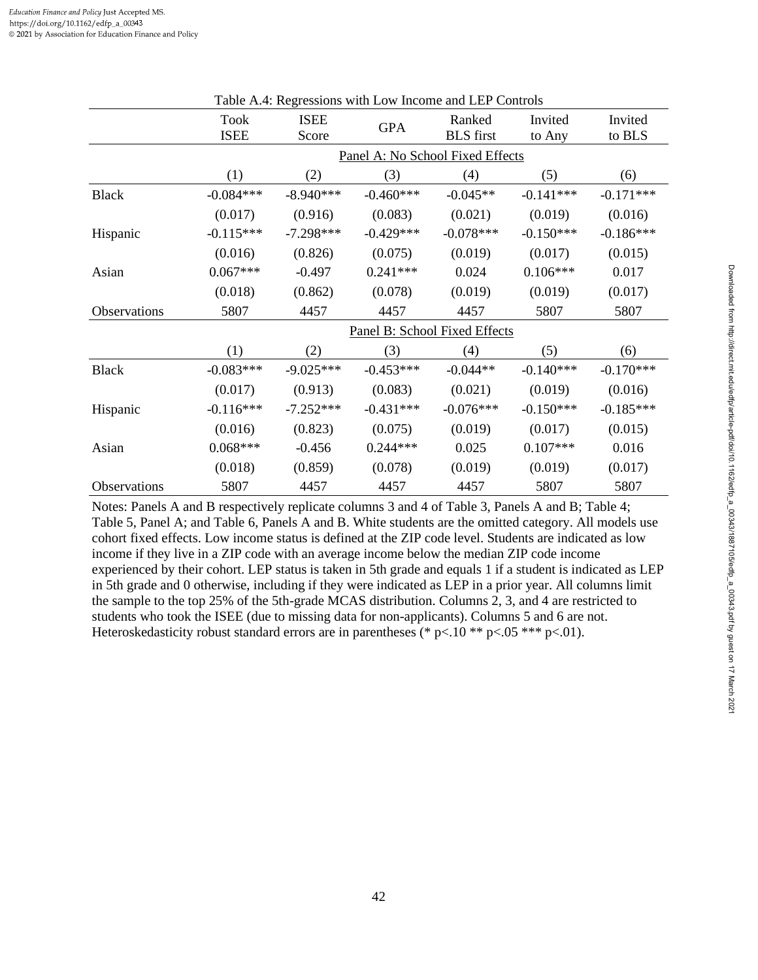| Table A.4. Reglessions with Low Income and LEF Controls |                     |                                  |             |                            |                   |                   |  |  |  |
|---------------------------------------------------------|---------------------|----------------------------------|-------------|----------------------------|-------------------|-------------------|--|--|--|
|                                                         | Took<br><b>ISEE</b> | <b>ISEE</b><br>Score             | <b>GPA</b>  | Ranked<br><b>BLS</b> first | Invited<br>to Any | Invited<br>to BLS |  |  |  |
|                                                         |                     | Panel A: No School Fixed Effects |             |                            |                   |                   |  |  |  |
|                                                         | (1)                 | (2)                              | (3)         | (4)                        | (5)               | (6)               |  |  |  |
| <b>Black</b>                                            | $-0.084***$         | $-8.940***$                      | $-0.460***$ | $-0.045**$                 | $-0.141***$       | $-0.171***$       |  |  |  |
|                                                         | (0.017)             | (0.916)                          | (0.083)     | (0.021)                    | (0.019)           | (0.016)           |  |  |  |
| Hispanic                                                | $-0.115***$         | $-7.298***$                      | $-0.429***$ | $-0.078***$                | $-0.150***$       | $-0.186***$       |  |  |  |
|                                                         | (0.016)             | (0.826)                          | (0.075)     | (0.019)                    | (0.017)           | (0.015)           |  |  |  |
| Asian                                                   | $0.067***$          | $-0.497$                         | $0.241***$  | 0.024                      | $0.106***$        | 0.017             |  |  |  |
|                                                         | (0.018)             | (0.862)                          | (0.078)     | (0.019)                    | (0.019)           | (0.017)           |  |  |  |
| Observations                                            | 5807                | 4457                             | 4457        | 4457                       | 5807              | 5807              |  |  |  |
|                                                         |                     | Panel B: School Fixed Effects    |             |                            |                   |                   |  |  |  |
|                                                         | (1)                 | (2)                              | (3)         | (4)                        | (5)               | (6)               |  |  |  |
| <b>Black</b>                                            | $-0.083***$         | $-9.025***$                      | $-0.453***$ | $-0.044**$                 | $-0.140***$       | $-0.170***$       |  |  |  |
|                                                         | (0.017)             | (0.913)                          | (0.083)     | (0.021)                    | (0.019)           | (0.016)           |  |  |  |
| Hispanic                                                | $-0.116***$         | $-7.252***$                      | $-0.431***$ | $-0.076***$                | $-0.150***$       | $-0.185***$       |  |  |  |
|                                                         | (0.016)             | (0.823)                          | (0.075)     | (0.019)                    | (0.017)           | (0.015)           |  |  |  |
| Asian                                                   | $0.068***$          | $-0.456$                         | $0.244***$  | 0.025                      | $0.107***$        | 0.016             |  |  |  |
|                                                         | (0.018)             | (0.859)                          | (0.078)     | (0.019)                    | (0.019)           | (0.017)           |  |  |  |
| Observations                                            | 5807                | 4457                             | 4457        | 4457                       | 5807              | 5807              |  |  |  |

Table A.4: Regressions with Low Income and LEP Controls

Notes: Panels A and B respectively replicate columns 3 and 4 of Table 3, Panels A and B; Table 4; Table 5, Panel A; and Table 6, Panels A and B. White students are the omitted category. All models use cohort fixed effects. Low income status is defined at the ZIP code level. Students are indicated as low income if they live in a ZIP code with an average income below the median ZIP code income experienced by their cohort. LEP status is taken in 5th grade and equals 1 if a student is indicated as LEP in 5th grade and 0 otherwise, including if they were indicated as LEP in a prior year. All columns limit the sample to the top 25% of the 5th-grade MCAS distribution. Columns 2, 3, and 4 are restricted to students who took the ISEE (due to missing data for non-applicants). Columns 5 and 6 are not. Heteroskedasticity robust standard errors are in parentheses (\*  $p<10$  \*\*  $p<0.05$  \*\*\*  $p<0.01$ ).